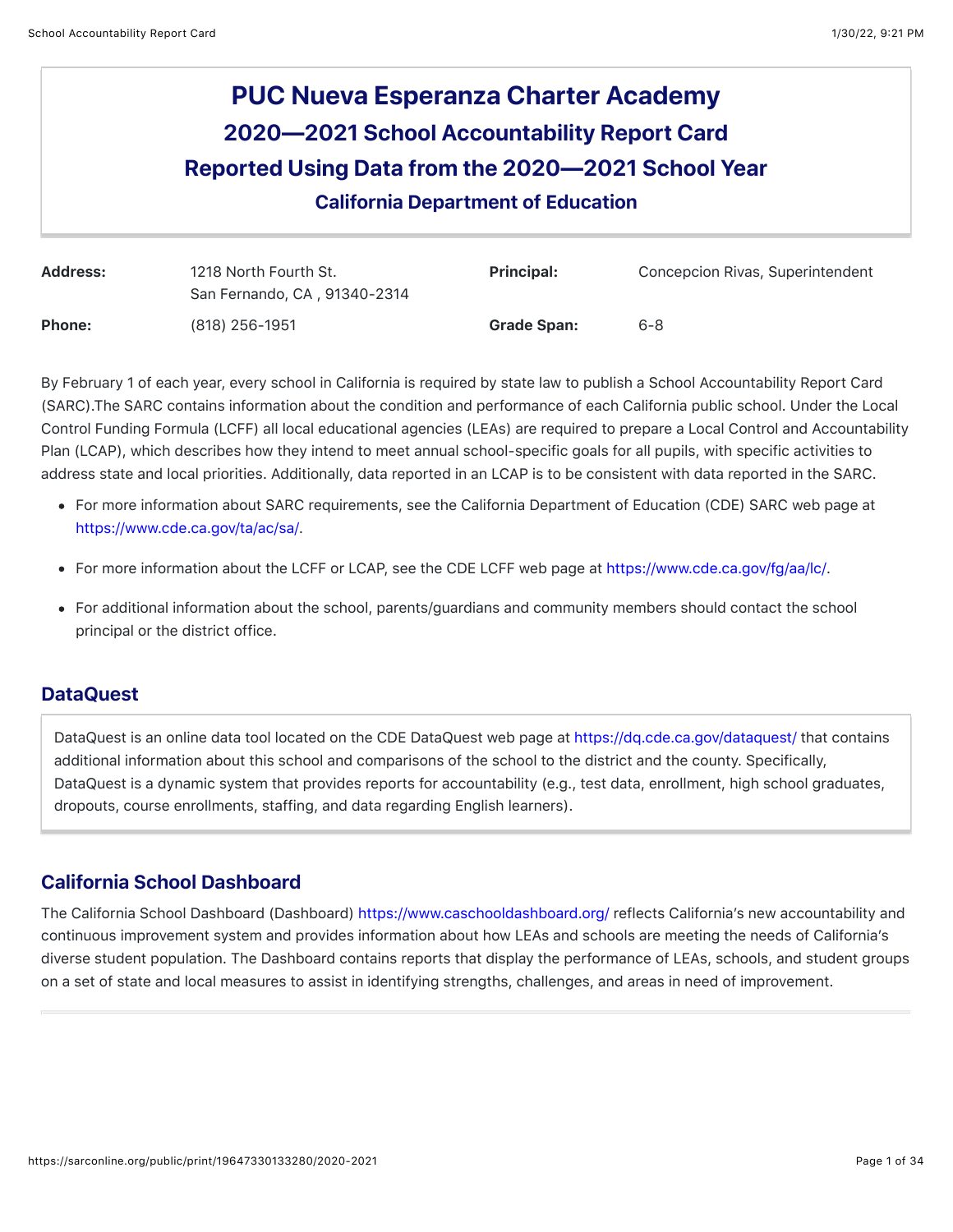# **PUC Nueva Esperanza Charter Academy 2020—2021 School Accountability Report Card Reported Using Data from the 2020—2021 School Year** California Department of Education

| Address:      | 1218 North Fourth St.<br>San Fernando, CA, 91340-2314 | <b>Principal:</b>  | Concepcion Rivas, Superintendent |
|---------------|-------------------------------------------------------|--------------------|----------------------------------|
| <b>Phone:</b> | (818) 256-1951                                        | <b>Grade Span:</b> | 6-8                              |

By February 1 of each year, every school in California is required by state law to publish a School Accountability Report Card (SARC).The SARC contains information about the condition and performance of each California public school. Under the Local Control Funding Formula (LCFF) all local educational agencies (LEAs) are required to prepare a Local Control and Accountability Plan (LCAP), which describes how they intend to meet annual school-specific goals for all pupils, with specific activities to address state and local priorities. Additionally, data reported in an LCAP is to be consistent with data reported in the SARC.

- For more information about SARC requirements, see the California Department of Education (CDE) SARC web page at <https://www.cde.ca.gov/ta/ac/sa/>.
- For more information about the LCFF or LCAP, see the CDE LCFF web page at <https://www.cde.ca.gov/fg/aa/lc/>.
- For additional information about the school, parents/guardians and community members should contact the school principal or the district office.

## DataQuest

DataQuest is an online data tool located on the CDE DataQuest web page at<https://dq.cde.ca.gov/dataquest/> that contains additional information about this school and comparisons of the school to the district and the county. Specifically, DataQuest is a dynamic system that provides reports for accountability (e.g., test data, enrollment, high school graduates, dropouts, course enrollments, staffing, and data regarding English learners).

## California School Dashboard

The California School Dashboard (Dashboard)<https://www.caschooldashboard.org/>reflects California's new accountability and continuous improvement system and provides information about how LEAs and schools are meeting the needs of California's diverse student population. The Dashboard contains reports that display the performance of LEAs, schools, and student groups on a set of state and local measures to assist in identifying strengths, challenges, and areas in need of improvement.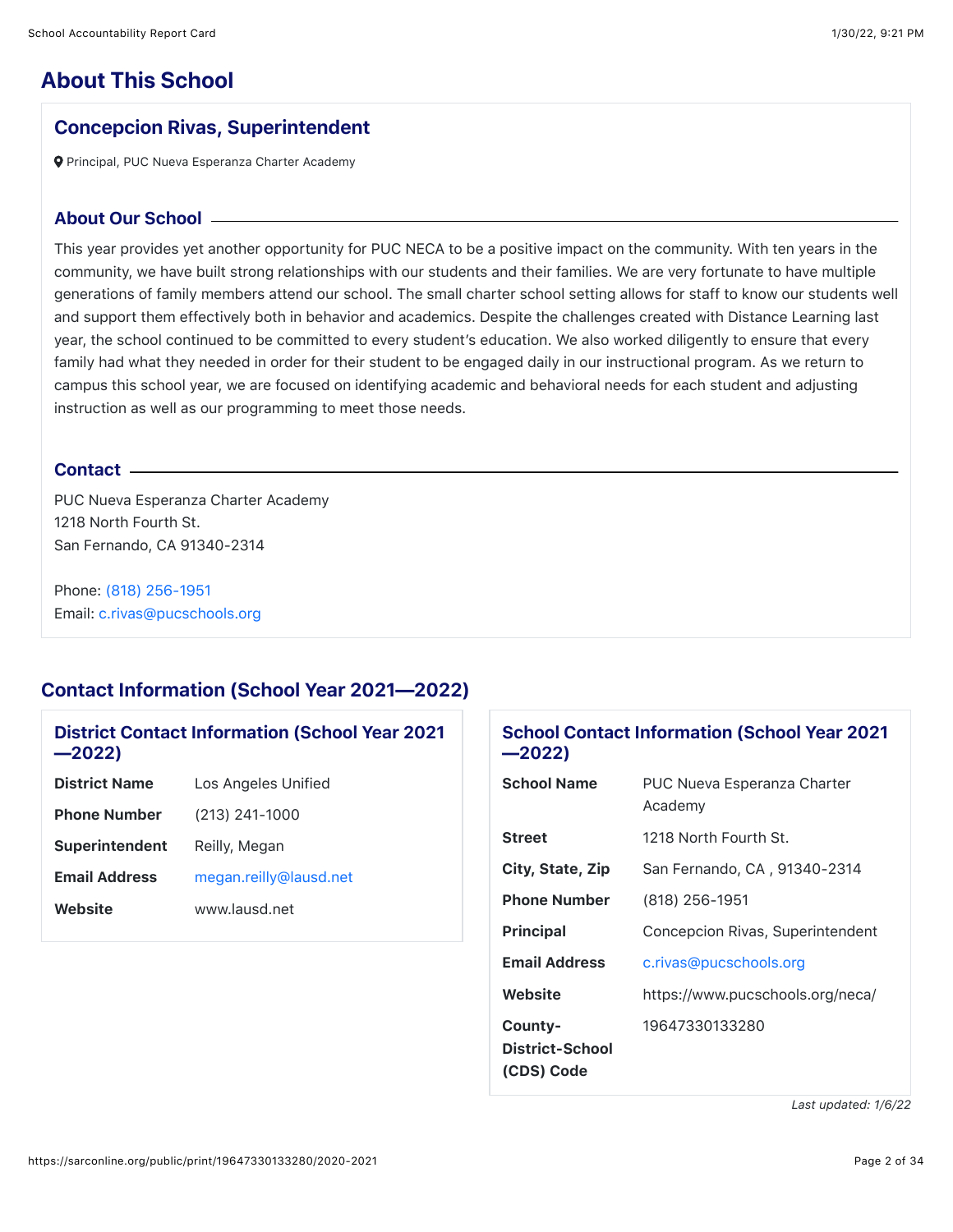## **About This School**

### Concepcion Rivas, Superintendent

Principal, PUC Nueva Esperanza Charter Academy

#### About Our School

This year provides yet another opportunity for PUC NECA to be a positive impact on the community. With ten years in the community, we have built strong relationships with our students and their families. We are very fortunate to have multiple generations of family members attend our school. The small charter school setting allows for staff to know our students well and support them effectively both in behavior and academics. Despite the challenges created with Distance Learning last year, the school continued to be committed to every student's education. We also worked diligently to ensure that every family had what they needed in order for their student to be engaged daily in our instructional program. As we return to campus this school year, we are focused on identifying academic and behavioral needs for each student and adjusting instruction as well as our programming to meet those needs.

### Contact

PUC Nueva Esperanza Charter Academy 1218 North Fourth St. San Fernando, CA 91340-2314

Phone: [\(818\) 256-1951](tel:(818)%20256-1951) Email: [c.rivas@pucschools.org](mailto:c.rivas@pucschools.org)

## Contact Information (School Year 2021—2022)

## District Contact Information (School Year 2021 —2022)

| <b>District Name</b>  | Los Angeles Unified    |
|-----------------------|------------------------|
| <b>Phone Number</b>   | (213) 241-1000         |
| <b>Superintendent</b> | Reilly, Megan          |
| <b>Email Address</b>  | megan.reilly@lausd.net |
| Website               | www.lausd.net          |
|                       |                        |

### School Contact Information (School Year 2021 —2022)

| <b>School Name</b>   | <b>PUC Nueva Esperanza Charter</b><br>Academy |
|----------------------|-----------------------------------------------|
| <b>Street</b>        | 1218 North Fourth St.                         |
| City, State, Zip     | San Fernando, CA, 91340-2314                  |
| <b>Phone Number</b>  | (818) 256-1951                                |
| <b>Principal</b>     | Concepcion Rivas, Superintendent              |
| <b>Email Address</b> | c.rivas@pucschools.org                        |
| Website              | https://www.pucschools.org/neca/              |
| County-              | 19647330133280                                |
| District-School      |                                               |
| (CDS) Code           |                                               |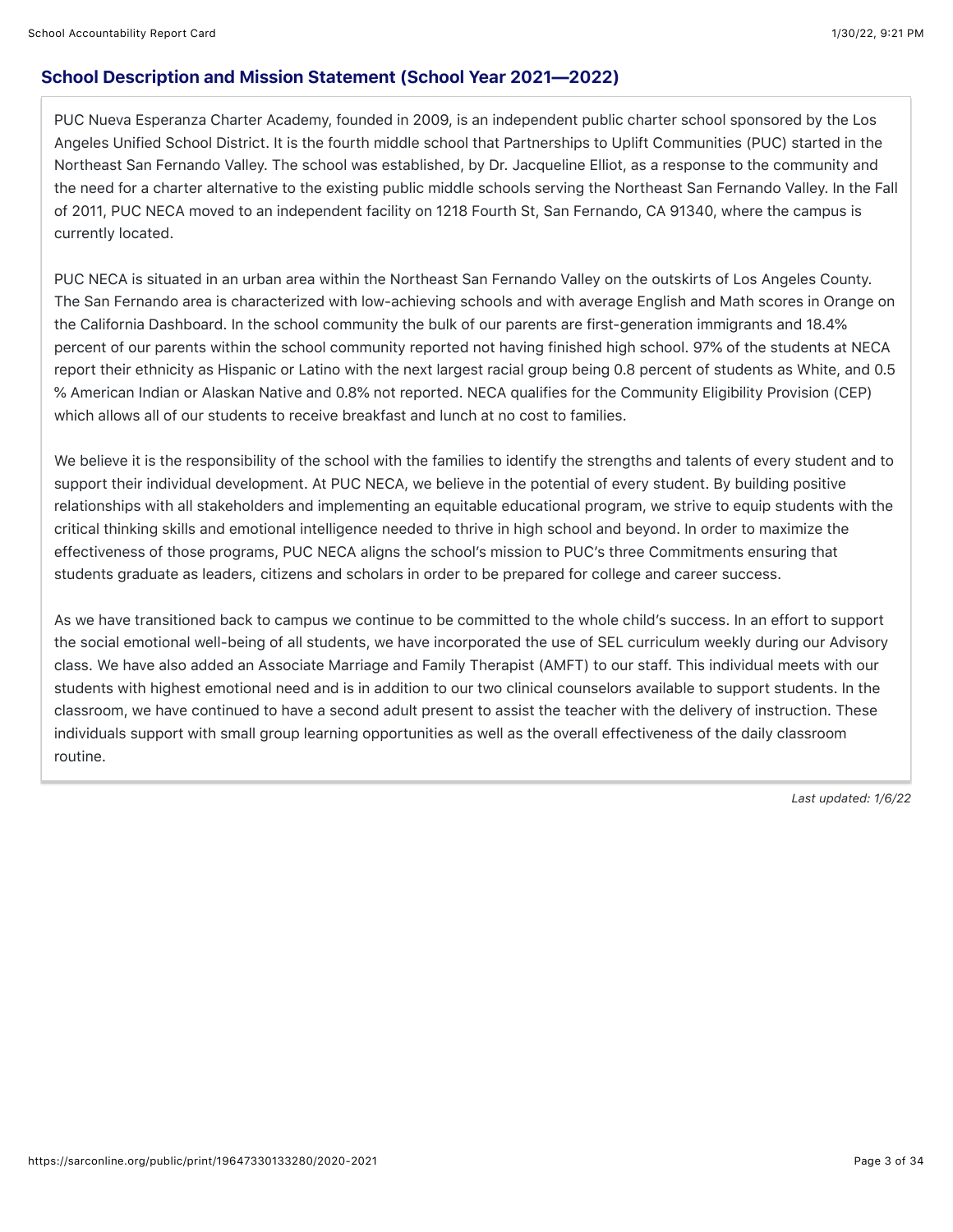## School Description and Mission Statement (School Year 2021—2022)

PUC Nueva Esperanza Charter Academy, founded in 2009, is an independent public charter school sponsored by the Los Angeles Unified School District. It is the fourth middle school that Partnerships to Uplift Communities (PUC) started in the Northeast San Fernando Valley. The school was established, by Dr. Jacqueline Elliot, as a response to the community and the need for a charter alternative to the existing public middle schools serving the Northeast San Fernando Valley. In the Fall of 2011, PUC NECA moved to an independent facility on 1218 Fourth St, San Fernando, CA 91340, where the campus is currently located.

PUC NECA is situated in an urban area within the Northeast San Fernando Valley on the outskirts of Los Angeles County. The San Fernando area is characterized with low-achieving schools and with average English and Math scores in Orange on the California Dashboard. In the school community the bulk of our parents are first-generation immigrants and 18.4% percent of our parents within the school community reported not having finished high school. 97% of the students at NECA report their ethnicity as Hispanic or Latino with the next largest racial group being 0.8 percent of students as White, and 0.5 % American Indian or Alaskan Native and 0.8% not reported. NECA qualifies for the Community Eligibility Provision (CEP) which allows all of our students to receive breakfast and lunch at no cost to families.

We believe it is the responsibility of the school with the families to identify the strengths and talents of every student and to support their individual development. At PUC NECA, we believe in the potential of every student. By building positive relationships with all stakeholders and implementing an equitable educational program, we strive to equip students with the critical thinking skills and emotional intelligence needed to thrive in high school and beyond. In order to maximize the effectiveness of those programs, PUC NECA aligns the school's mission to PUC's three Commitments ensuring that students graduate as leaders, citizens and scholars in order to be prepared for college and career success.

As we have transitioned back to campus we continue to be committed to the whole child's success. In an effort to support the social emotional well-being of all students, we have incorporated the use of SEL curriculum weekly during our Advisory class. We have also added an Associate Marriage and Family Therapist (AMFT) to our staff. This individual meets with our students with highest emotional need and is in addition to our two clinical counselors available to support students. In the classroom, we have continued to have a second adult present to assist the teacher with the delivery of instruction. These individuals support with small group learning opportunities as well as the overall effectiveness of the daily classroom routine.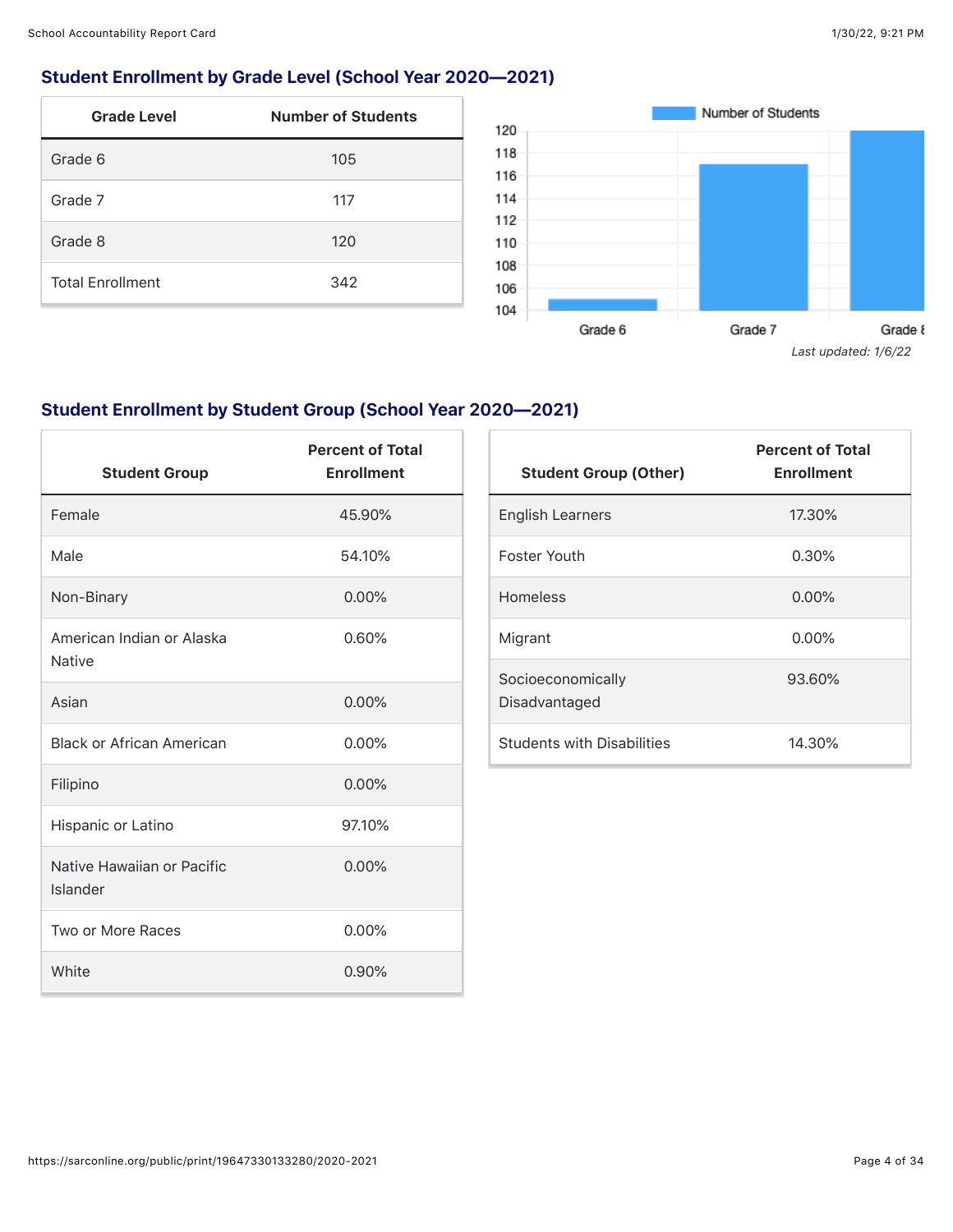## Student Enrollment by Grade Level (School Year 2020—2021)

| <b>Grade Level</b>      | <b>Number of Students</b> |
|-------------------------|---------------------------|
| Grade 6                 | 105                       |
| Grade 7                 | 117                       |
| Grade 8                 | 120                       |
| <b>Total Enrollment</b> | 342                       |



## Student Enrollment by Student Group (School Year 2020—2021)

| <b>Student Group</b>                       | <b>Percent of Total</b><br><b>Enrollment</b> |
|--------------------------------------------|----------------------------------------------|
| Female                                     | 45.90%                                       |
| Male                                       | 54.10%                                       |
| Non-Binary                                 | 0.00%                                        |
| American Indian or Alaska<br><b>Native</b> | 0.60%                                        |
| Asian                                      | 0.00%                                        |
| <b>Black or African American</b>           | 0.00%                                        |
| Filipino                                   | 0.00%                                        |
| Hispanic or Latino                         | 97.10%                                       |
| Native Hawaiian or Pacific<br>Islander     | 0.00%                                        |
| Two or More Races                          | $0.00\%$                                     |
| White                                      | 0.90%                                        |

| <b>Student Group (Other)</b>       | <b>Percent of Total</b><br><b>Enrollment</b> |
|------------------------------------|----------------------------------------------|
| English Learners                   | 17.30%                                       |
| Foster Youth                       | 0.30%                                        |
| <b>Homeless</b>                    | $0.00\%$                                     |
| Migrant                            | $0.00\%$                                     |
| Socioeconomically<br>Disadvantaged | 93.60%                                       |
| <b>Students with Disabilities</b>  | 14.30%                                       |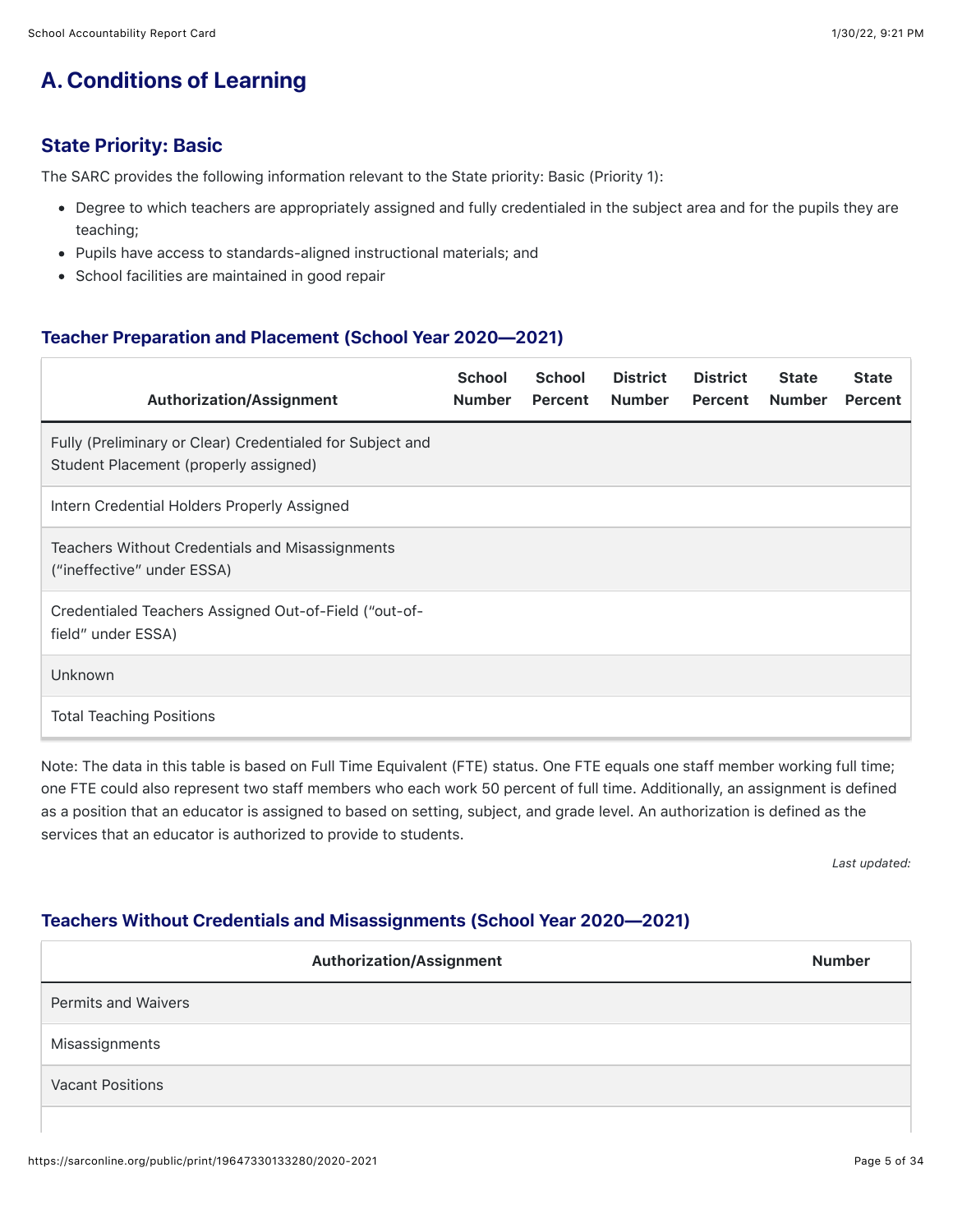## **A. Conditions of Learning**

## State Priority: Basic

The SARC provides the following information relevant to the State priority: Basic (Priority 1):

- Degree to which teachers are appropriately assigned and fully credentialed in the subject area and for the pupils they are teaching;
- Pupils have access to standards-aligned instructional materials; and
- School facilities are maintained in good repair

## Teacher Preparation and Placement (School Year 2020—2021)

| <b>Authorization/Assignment</b>                                                                    | <b>School</b><br><b>Number</b> | <b>School</b><br>Percent | <b>District</b><br><b>Number</b> | <b>District</b><br>Percent | <b>State</b><br><b>Number</b> | <b>State</b><br>Percent |
|----------------------------------------------------------------------------------------------------|--------------------------------|--------------------------|----------------------------------|----------------------------|-------------------------------|-------------------------|
| Fully (Preliminary or Clear) Credentialed for Subject and<br>Student Placement (properly assigned) |                                |                          |                                  |                            |                               |                         |
| Intern Credential Holders Properly Assigned                                                        |                                |                          |                                  |                            |                               |                         |
| Teachers Without Credentials and Misassignments<br>("ineffective" under ESSA)                      |                                |                          |                                  |                            |                               |                         |
| Credentialed Teachers Assigned Out-of-Field ("out-of-<br>field" under ESSA)                        |                                |                          |                                  |                            |                               |                         |
| Unknown                                                                                            |                                |                          |                                  |                            |                               |                         |
| <b>Total Teaching Positions</b>                                                                    |                                |                          |                                  |                            |                               |                         |

Note: The data in this table is based on Full Time Equivalent (FTE) status. One FTE equals one staff member working full time; one FTE could also represent two staff members who each work 50 percent of full time. Additionally, an assignment is defined as a position that an educator is assigned to based on setting, subject, and grade level. An authorization is defined as the services that an educator is authorized to provide to students.

*Last updated:*

## Teachers Without Credentials and Misassignments (School Year 2020—2021)

| <b>Authorization/Assignment</b> | <b>Number</b> |
|---------------------------------|---------------|
| <b>Permits and Waivers</b>      |               |
| Misassignments                  |               |
| <b>Vacant Positions</b>         |               |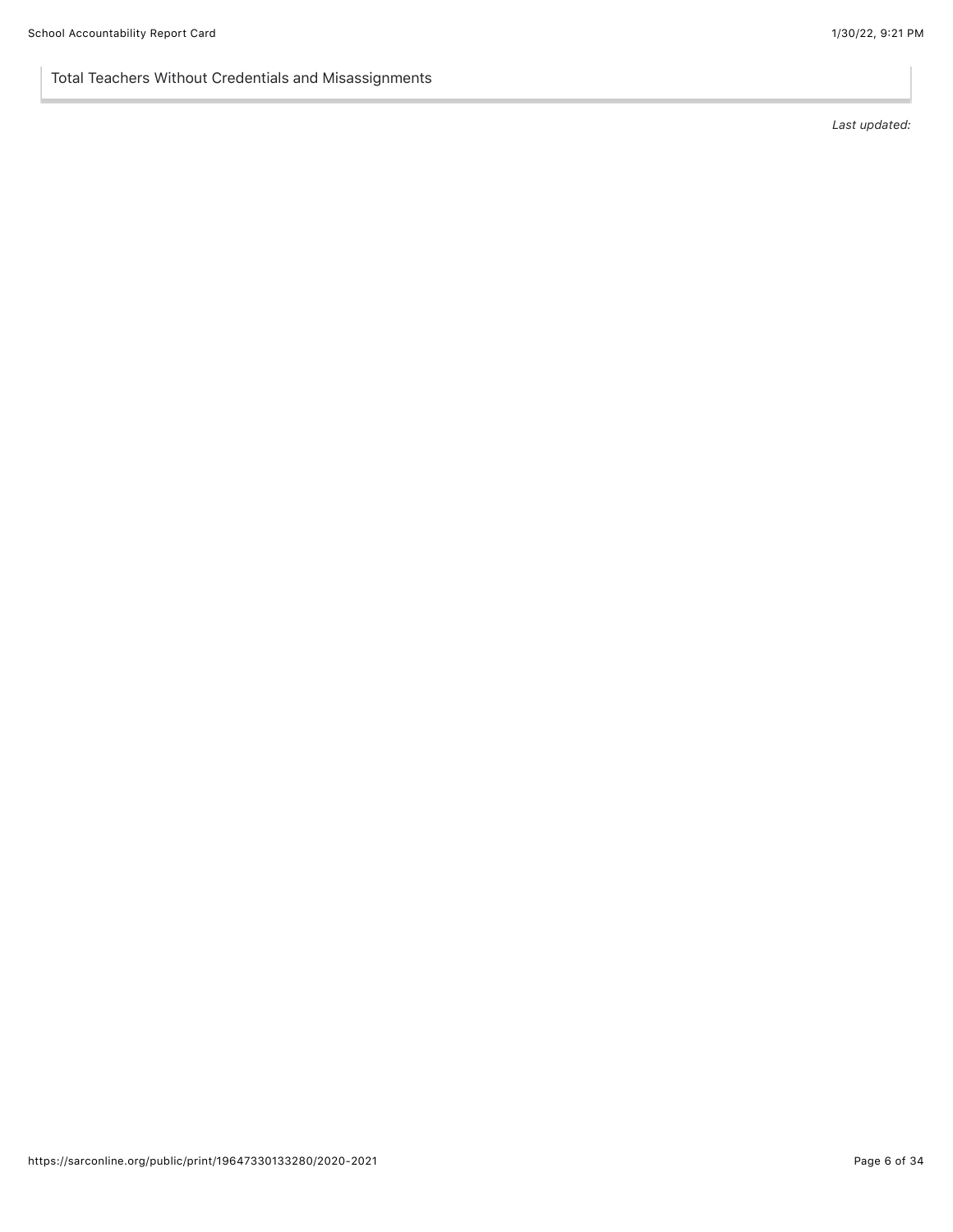### Total Teachers Without Credentials and Misassignments

*Last updated:*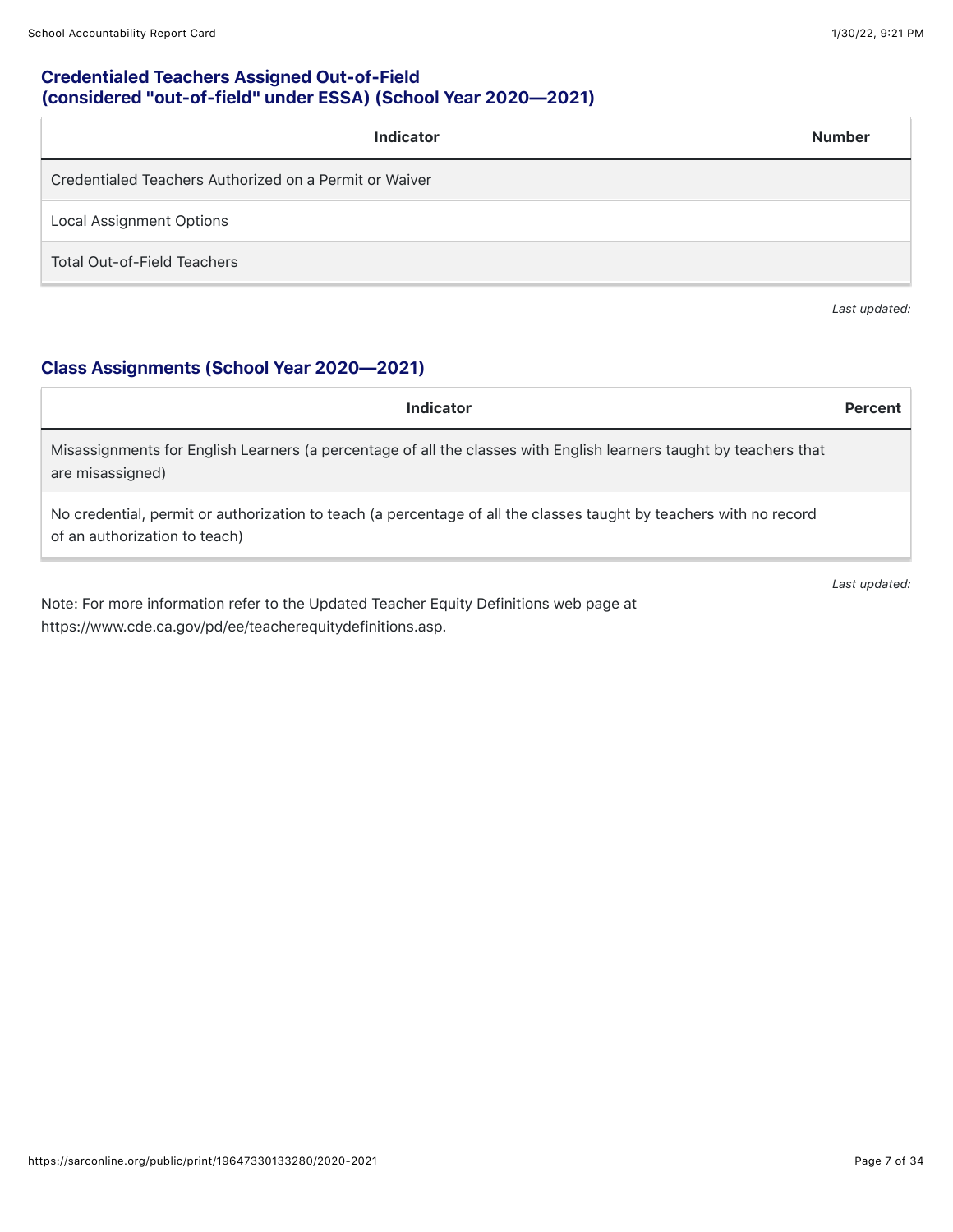## Credentialed Teachers Assigned Out-of-Field (considered "out-of-field" under ESSA) (School Year 2020—2021)

| <b>Indicator</b>                                       | <b>Number</b> |
|--------------------------------------------------------|---------------|
| Credentialed Teachers Authorized on a Permit or Waiver |               |
| <b>Local Assignment Options</b>                        |               |
| <b>Total Out-of-Field Teachers</b>                     |               |

*Last updated:*

## Class Assignments (School Year 2020—2021)

| Indicator                                                                                                                                           | Percent       |
|-----------------------------------------------------------------------------------------------------------------------------------------------------|---------------|
| Misassignments for English Learners (a percentage of all the classes with English learners taught by teachers that<br>are misassigned)              |               |
| No credential, permit or authorization to teach (a percentage of all the classes taught by teachers with no record<br>of an authorization to teach) |               |
|                                                                                                                                                     | Last updated: |

Note: For more information refer to the Updated Teacher Equity Definitions web page at https://www.cde.ca.gov/pd/ee/teacherequitydefinitions.asp.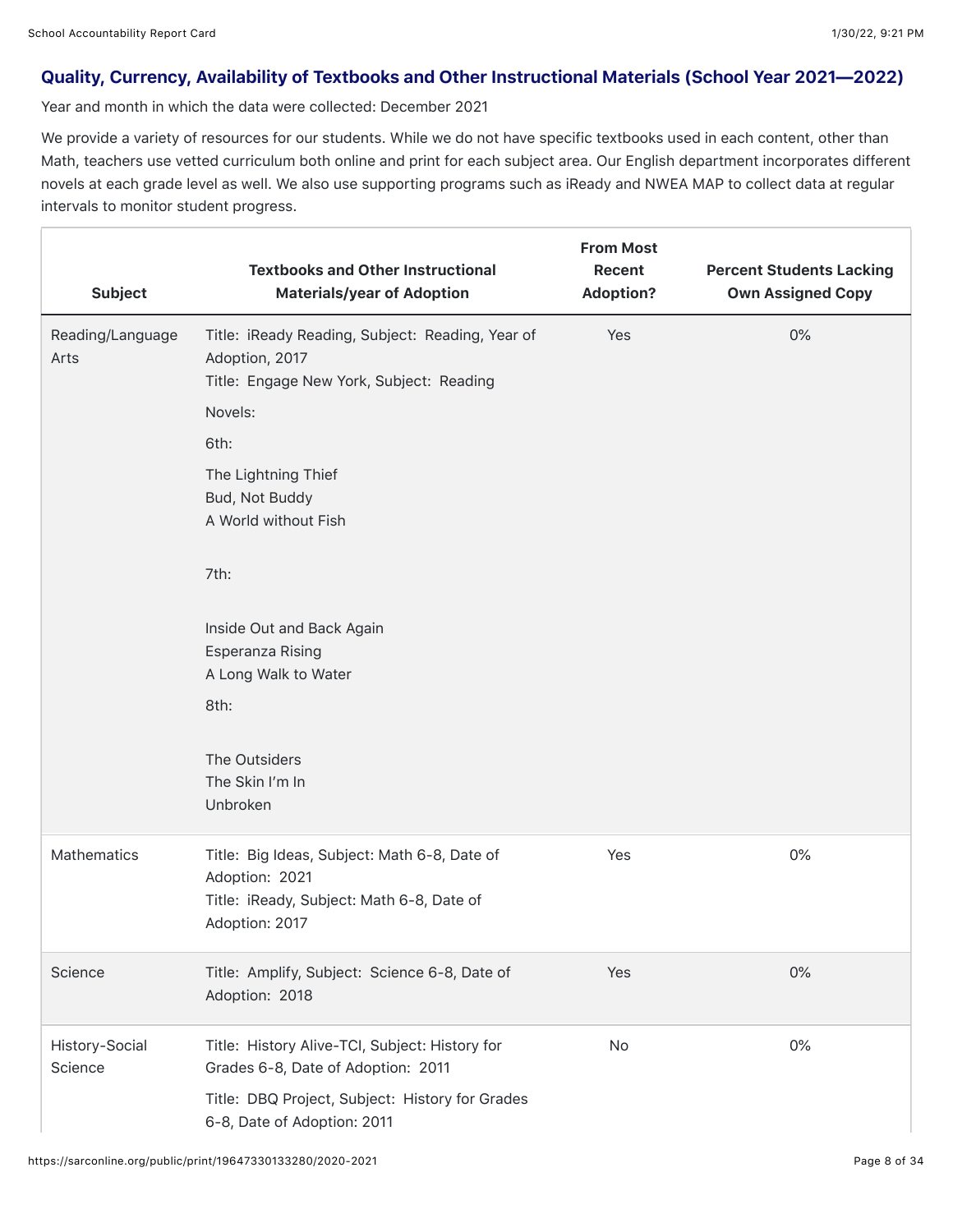### Quality, Currency, Availability of Textbooks and Other Instructional Materials (School Year 2021—2022)

Year and month in which the data were collected: December 2021

We provide a variety of resources for our students. While we do not have specific textbooks used in each content, other than Math, teachers use vetted curriculum both online and print for each subject area. Our English department incorporates different novels at each grade level as well. We also use supporting programs such as iReady and NWEA MAP to collect data at regular intervals to monitor student progress.

| <b>Subject</b>            | <b>Textbooks and Other Instructional</b><br><b>Materials/year of Adoption</b>                                                                                                                                                                                                                                | <b>From Most</b><br>Recent<br><b>Adoption?</b> | <b>Percent Students Lacking</b><br><b>Own Assigned Copy</b> |
|---------------------------|--------------------------------------------------------------------------------------------------------------------------------------------------------------------------------------------------------------------------------------------------------------------------------------------------------------|------------------------------------------------|-------------------------------------------------------------|
| Reading/Language<br>Arts  | Title: iReady Reading, Subject: Reading, Year of<br>Adoption, 2017<br>Title: Engage New York, Subject: Reading<br>Novels:<br>6th:<br>The Lightning Thief<br>Bud, Not Buddy<br>A World without Fish<br>7th:<br>Inside Out and Back Again<br>Esperanza Rising<br>A Long Walk to Water<br>8th:<br>The Outsiders | Yes                                            | $0\%$                                                       |
|                           | The Skin I'm In<br>Unbroken                                                                                                                                                                                                                                                                                  |                                                |                                                             |
| <b>Mathematics</b>        | Title: Big Ideas, Subject: Math 6-8, Date of<br>Adoption: 2021<br>Title: iReady, Subject: Math 6-8, Date of<br>Adoption: 2017                                                                                                                                                                                | Yes                                            | $0\%$                                                       |
| Science                   | Title: Amplify, Subject: Science 6-8, Date of<br>Adoption: 2018                                                                                                                                                                                                                                              | Yes                                            | $0\%$                                                       |
| History-Social<br>Science | Title: History Alive-TCI, Subject: History for<br>Grades 6-8, Date of Adoption: 2011<br>Title: DBQ Project, Subject: History for Grades<br>6-8, Date of Adoption: 2011                                                                                                                                       | No                                             | $0\%$                                                       |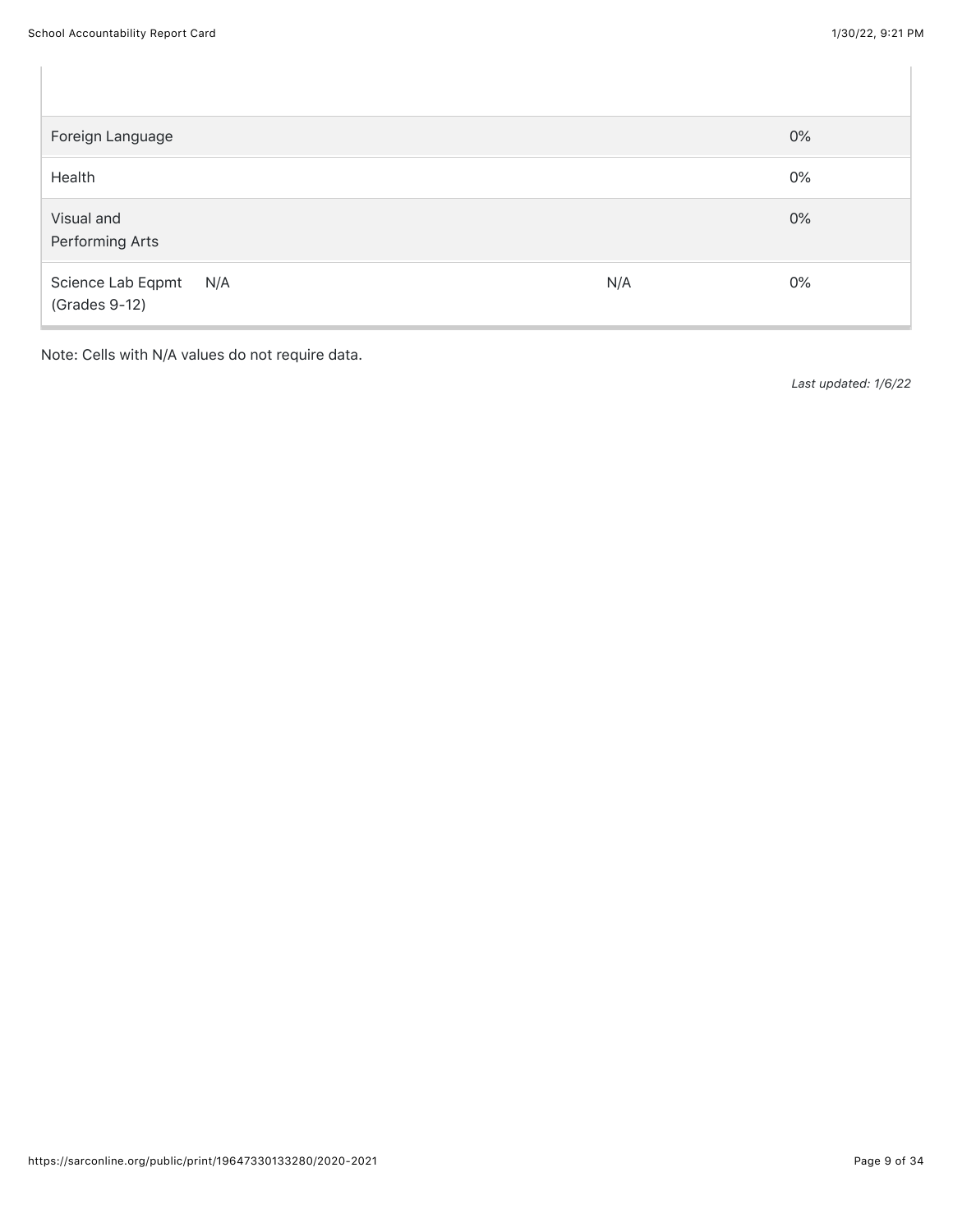| Foreign Language                       |     | $0\%$ |
|----------------------------------------|-----|-------|
| Health                                 |     | $0\%$ |
| Visual and<br>Performing Arts          |     | $0\%$ |
| Science Lab Eqpmt N/A<br>(Grades 9-12) | N/A | $0\%$ |

Note: Cells with N/A values do not require data.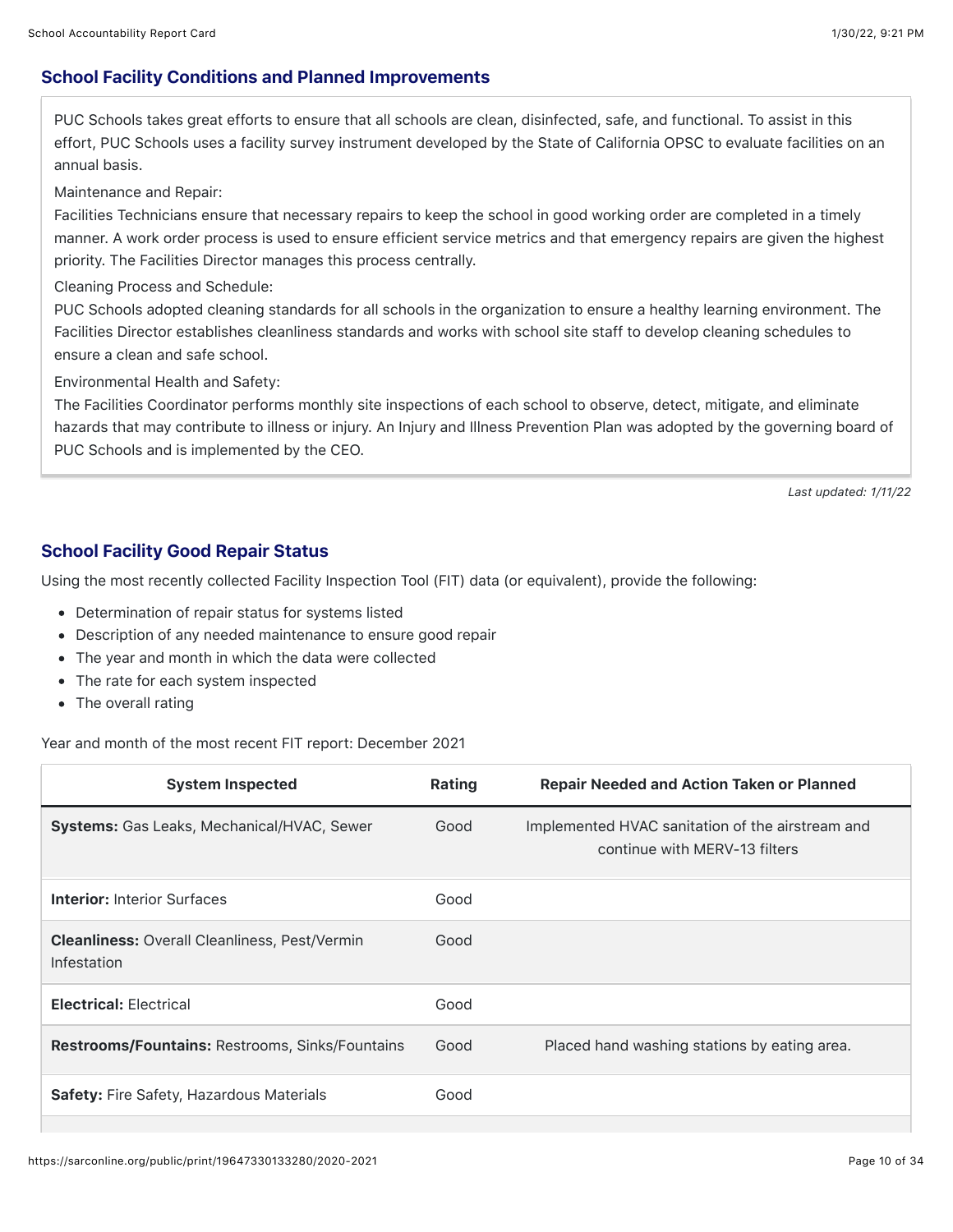## School Facility Conditions and Planned Improvements

PUC Schools takes great efforts to ensure that all schools are clean, disinfected, safe, and functional. To assist in this effort, PUC Schools uses a facility survey instrument developed by the State of California OPSC to evaluate facilities on an annual basis.

Maintenance and Repair:

Facilities Technicians ensure that necessary repairs to keep the school in good working order are completed in a timely manner. A work order process is used to ensure efficient service metrics and that emergency repairs are given the highest priority. The Facilities Director manages this process centrally.

Cleaning Process and Schedule:

PUC Schools adopted cleaning standards for all schools in the organization to ensure a healthy learning environment. The Facilities Director establishes cleanliness standards and works with school site staff to develop cleaning schedules to ensure a clean and safe school.

Environmental Health and Safety:

The Facilities Coordinator performs monthly site inspections of each school to observe, detect, mitigate, and eliminate hazards that may contribute to illness or injury. An Injury and Illness Prevention Plan was adopted by the governing board of PUC Schools and is implemented by the CEO.

*Last updated: 1/11/22*

## School Facility Good Repair Status

Using the most recently collected Facility Inspection Tool (FIT) data (or equivalent), provide the following:

- Determination of repair status for systems listed
- Description of any needed maintenance to ensure good repair
- The year and month in which the data were collected
- The rate for each system inspected
- The overall rating

### Year and month of the most recent FIT report: December 2021

| <b>System Inspected</b>                                             | Rating | <b>Repair Needed and Action Taken or Planned</b>                                  |
|---------------------------------------------------------------------|--------|-----------------------------------------------------------------------------------|
| <b>Systems:</b> Gas Leaks, Mechanical/HVAC, Sewer                   | Good   | Implemented HVAC sanitation of the airstream and<br>continue with MERV-13 filters |
| <b>Interior: Interior Surfaces</b>                                  | Good   |                                                                                   |
| <b>Cleanliness:</b> Overall Cleanliness, Pest/Vermin<br>Infestation | Good   |                                                                                   |
| <b>Electrical: Electrical</b>                                       | Good   |                                                                                   |
| <b>Restrooms/Fountains: Restrooms, Sinks/Fountains</b>              | Good   | Placed hand washing stations by eating area.                                      |
| Safety: Fire Safety, Hazardous Materials                            | Good   |                                                                                   |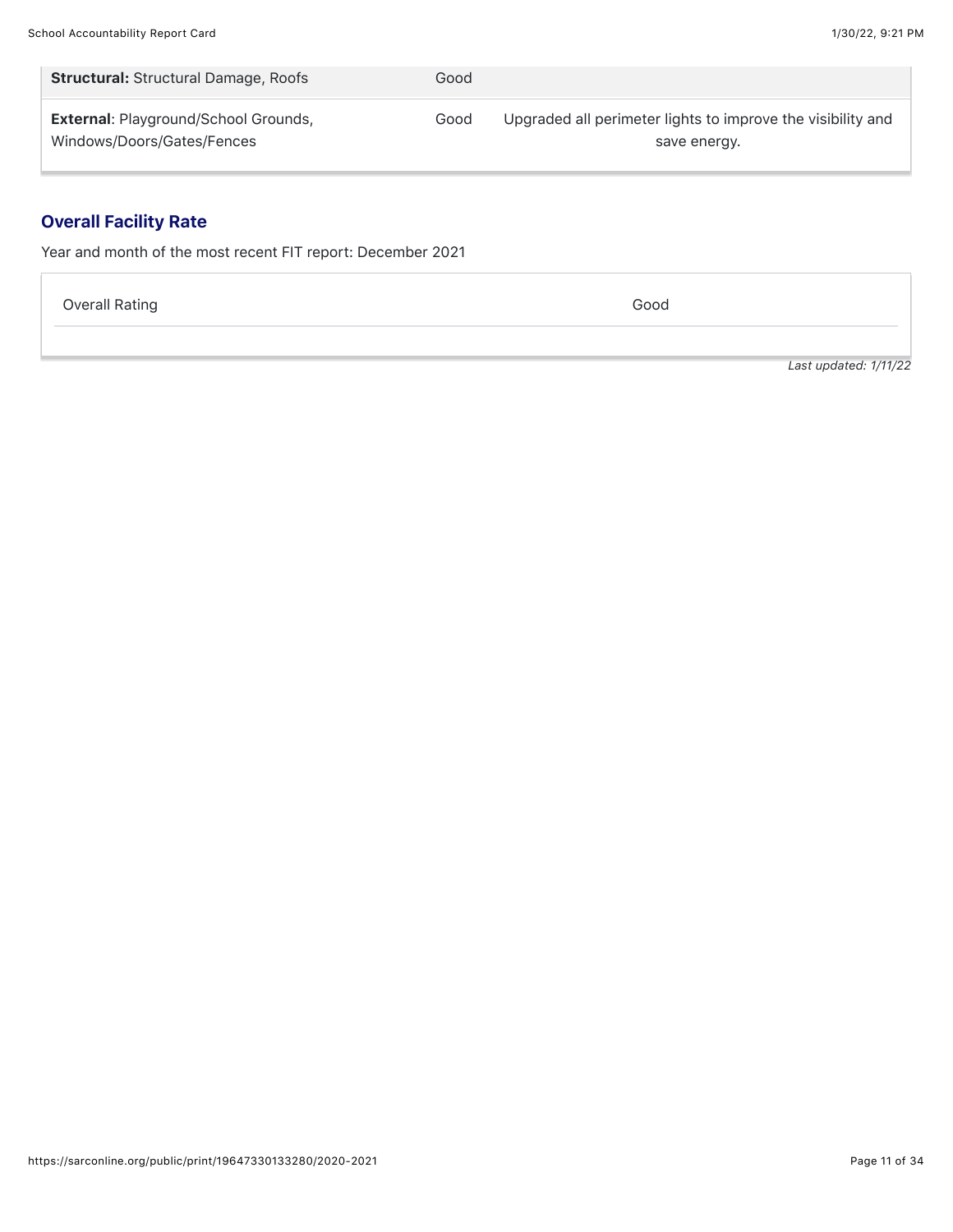| <b>Structural: Structural Damage, Roofs</b> | Good |                                                             |
|---------------------------------------------|------|-------------------------------------------------------------|
| <b>External: Playground/School Grounds,</b> | Good | Upgraded all perimeter lights to improve the visibility and |
| Windows/Doors/Gates/Fences                  |      | save energy.                                                |

## Overall Facility Rate

Year and month of the most recent FIT report: December 2021

Overall Rating Good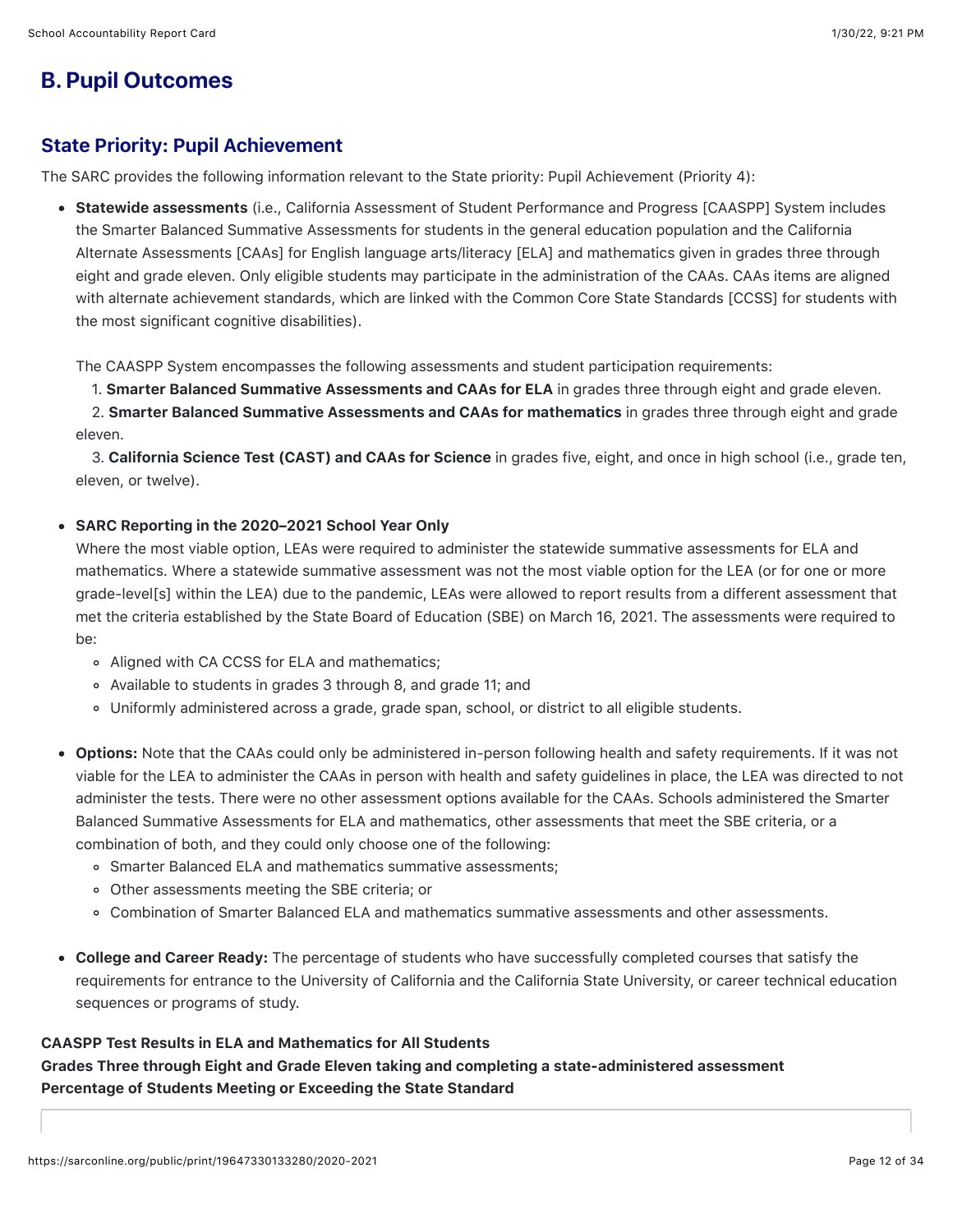## **B. Pupil Outcomes**

## State Priority: Pupil Achievement

The SARC provides the following information relevant to the State priority: Pupil Achievement (Priority 4):

• Statewide assessments (i.e., California Assessment of Student Performance and Progress [CAASPP] System includes the Smarter Balanced Summative Assessments for students in the general education population and the California Alternate Assessments [CAAs] for English language arts/literacy [ELA] and mathematics given in grades three through eight and grade eleven. Only eligible students may participate in the administration of the CAAs. CAAs items are aligned with alternate achievement standards, which are linked with the Common Core State Standards [CCSS] for students with the most significant cognitive disabilities).

The CAASPP System encompasses the following assessments and student participation requirements:

1. Smarter Balanced Summative Assessments and CAAs for ELA in grades three through eight and grade eleven.

2. Smarter Balanced Summative Assessments and CAAs for mathematics in grades three through eight and grade eleven.

3. California Science Test (CAST) and CAAs for Science in grades five, eight, and once in high school (i.e., grade ten, eleven, or twelve).

### SARC Reporting in the 2020–2021 School Year Only

Where the most viable option, LEAs were required to administer the statewide summative assessments for ELA and mathematics. Where a statewide summative assessment was not the most viable option for the LEA (or for one or more grade-level[s] within the LEA) due to the pandemic, LEAs were allowed to report results from a different assessment that met the criteria established by the State Board of Education (SBE) on March 16, 2021. The assessments were required to be:

- Aligned with CA CCSS for ELA and mathematics;
- Available to students in grades 3 through 8, and grade 11; and
- Uniformly administered across a grade, grade span, school, or district to all eligible students.
- Options: Note that the CAAs could only be administered in-person following health and safety requirements. If it was not viable for the LEA to administer the CAAs in person with health and safety guidelines in place, the LEA was directed to not administer the tests. There were no other assessment options available for the CAAs. Schools administered the Smarter Balanced Summative Assessments for ELA and mathematics, other assessments that meet the SBE criteria, or a combination of both, and they could only choose one of the following:
	- Smarter Balanced ELA and mathematics summative assessments;
	- Other assessments meeting the SBE criteria; or
	- Combination of Smarter Balanced ELA and mathematics summative assessments and other assessments.
- College and Career Ready: The percentage of students who have successfully completed courses that satisfy the requirements for entrance to the University of California and the California State University, or career technical education sequences or programs of study.

## CAASPP Test Results in ELA and Mathematics for All Students Grades Three through Eight and Grade Eleven taking and completing a state-administered assessment Percentage of Students Meeting or Exceeding the State Standard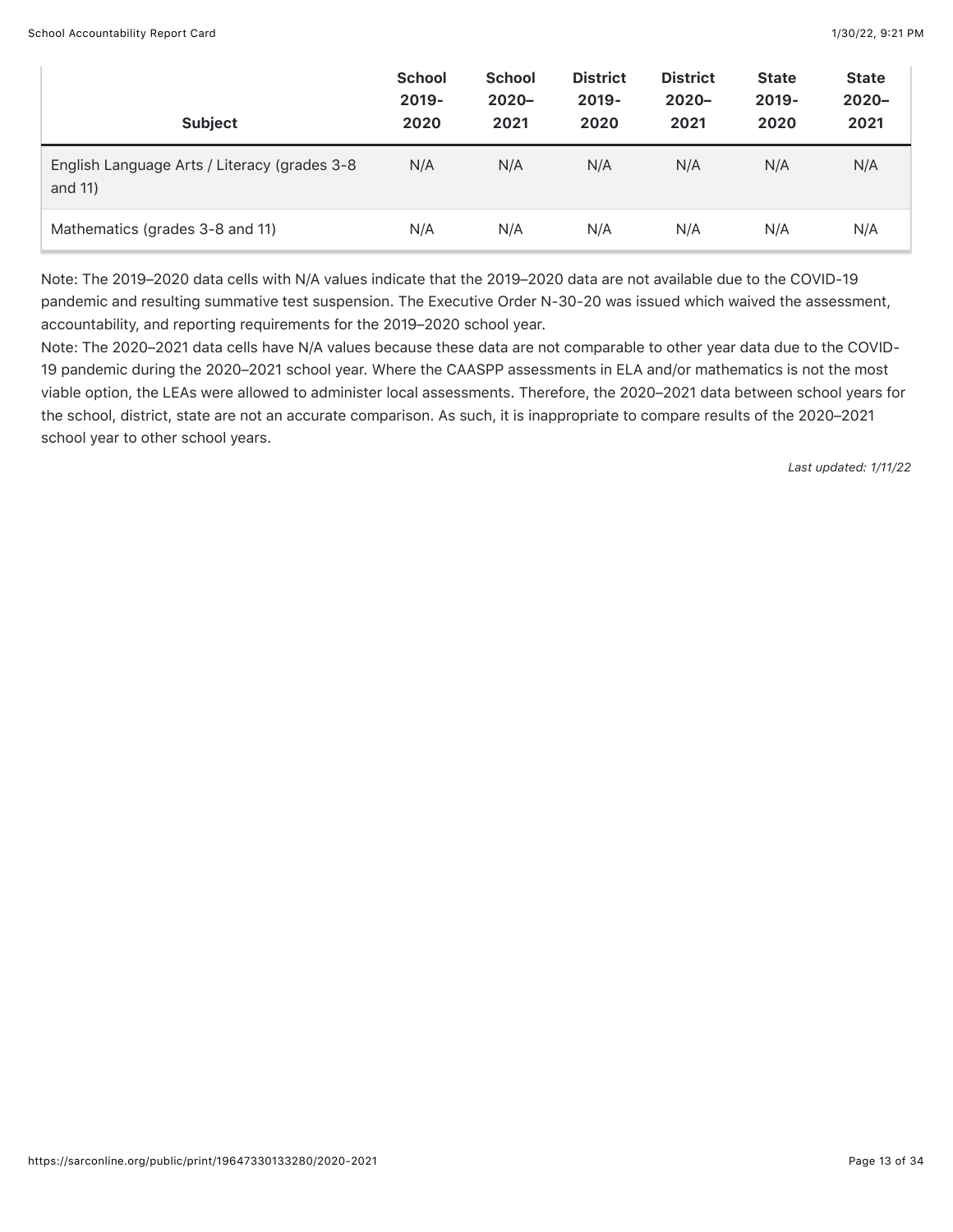| <b>Subject</b>                                          | <b>School</b><br>$2019 -$<br>2020 | <b>School</b><br>$2020 -$<br>2021 | <b>District</b><br>$2019 -$<br>2020 | <b>District</b><br>$2020 -$<br>2021 | <b>State</b><br>$2019 -$<br>2020 | <b>State</b><br>$2020 -$<br>2021 |
|---------------------------------------------------------|-----------------------------------|-----------------------------------|-------------------------------------|-------------------------------------|----------------------------------|----------------------------------|
| English Language Arts / Literacy (grades 3-8<br>and 11) | N/A                               | N/A                               | N/A                                 | N/A                                 | N/A                              | N/A                              |
| Mathematics (grades 3-8 and 11)                         | N/A                               | N/A                               | N/A                                 | N/A                                 | N/A                              | N/A                              |

Note: The 2019–2020 data cells with N/A values indicate that the 2019–2020 data are not available due to the COVID-19 pandemic and resulting summative test suspension. The Executive Order N-30-20 was issued which waived the assessment, accountability, and reporting requirements for the 2019–2020 school year.

Note: The 2020–2021 data cells have N/A values because these data are not comparable to other year data due to the COVID-19 pandemic during the 2020–2021 school year. Where the CAASPP assessments in ELA and/or mathematics is not the most viable option, the LEAs were allowed to administer local assessments. Therefore, the 2020–2021 data between school years for the school, district, state are not an accurate comparison. As such, it is inappropriate to compare results of the 2020–2021 school year to other school years.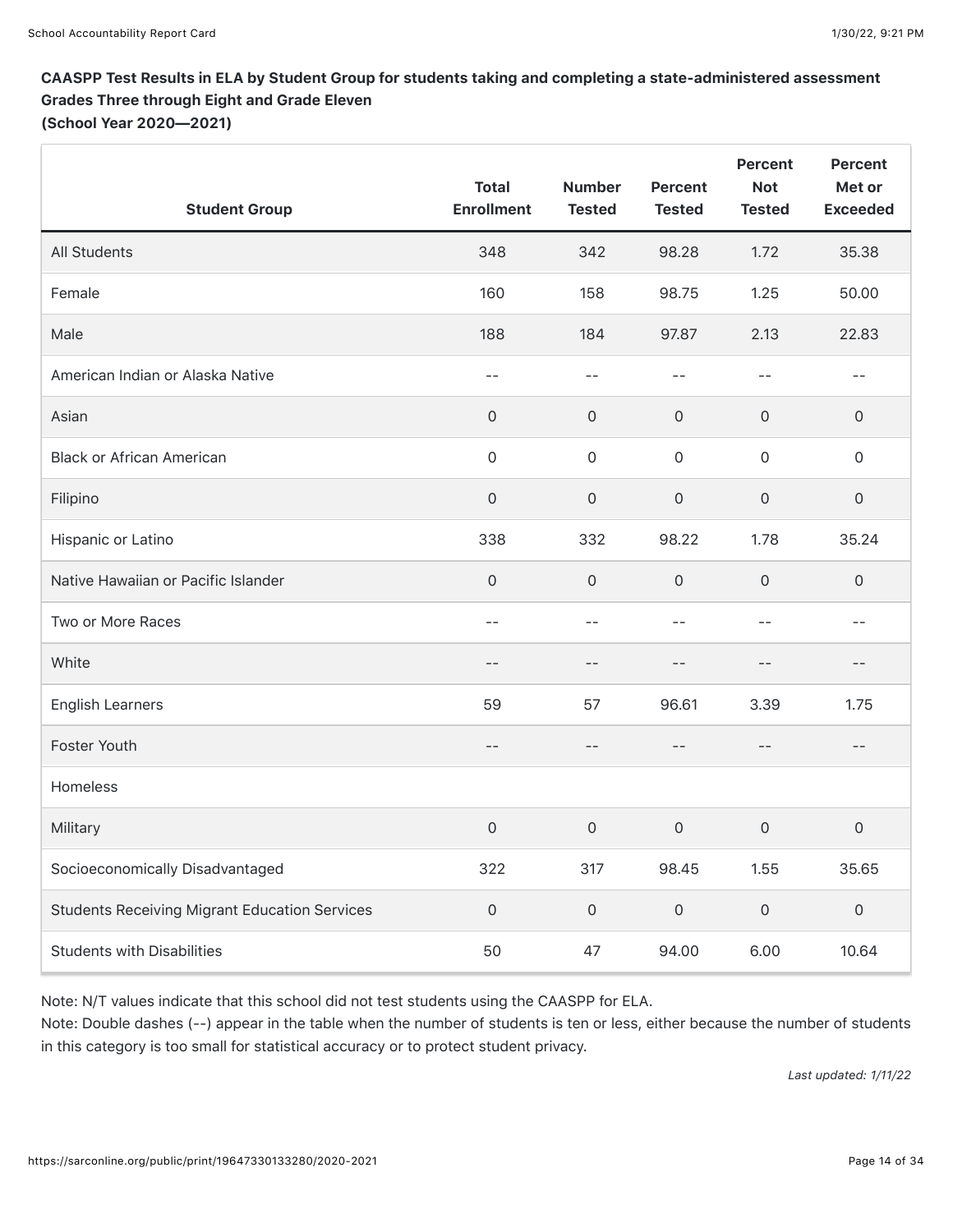## CAASPP Test Results in ELA by Student Group for students taking and completing a state-administered assessment Grades Three through Eight and Grade Eleven

(School Year 2020—2021)

| <b>Student Group</b>                                 | <b>Total</b><br><b>Enrollment</b> | <b>Number</b><br><b>Tested</b> | <b>Percent</b><br><b>Tested</b> | <b>Percent</b><br><b>Not</b><br><b>Tested</b> | <b>Percent</b><br>Met or<br><b>Exceeded</b> |
|------------------------------------------------------|-----------------------------------|--------------------------------|---------------------------------|-----------------------------------------------|---------------------------------------------|
| All Students                                         | 348                               | 342                            | 98.28                           | 1.72                                          | 35.38                                       |
| Female                                               | 160                               | 158                            | 98.75                           | 1.25                                          | 50.00                                       |
| Male                                                 | 188                               | 184                            | 97.87                           | 2.13                                          | 22.83                                       |
| American Indian or Alaska Native                     | $-$                               | $-$                            | $-1$                            | $-1$                                          | --                                          |
| Asian                                                | $\mathsf{O}\xspace$               | $\mathsf O$                    | $\mathbf 0$                     | $\mathsf{O}\xspace$                           | $\mathsf{O}\xspace$                         |
| <b>Black or African American</b>                     | $\mathsf{O}\xspace$               | $\mathsf O$                    | $\mathsf{O}$                    | $\mathsf{O}\xspace$                           | $\mathsf{O}\xspace$                         |
| Filipino                                             | $\mathsf{O}\xspace$               | $\mathsf{O}\xspace$            | $\mathsf{O}\xspace$             | $\mathsf{O}\xspace$                           | $\mathsf{O}\xspace$                         |
| Hispanic or Latino                                   | 338                               | 332                            | 98.22                           | 1.78                                          | 35.24                                       |
| Native Hawaiian or Pacific Islander                  | $\mathsf{O}\xspace$               | $\mathsf O$                    | $\mathsf{O}\xspace$             | $\mathsf{O}\xspace$                           | $\mathsf{O}\xspace$                         |
| Two or More Races                                    | $- -$                             | $- -$                          | $- -$                           | $ -$                                          | $- -$                                       |
| White                                                | $ -$                              | $- -$                          | $- -$                           | $- -$                                         | $- -$                                       |
| <b>English Learners</b>                              | 59                                | 57                             | 96.61                           | 3.39                                          | 1.75                                        |
| Foster Youth                                         | $- -$                             | $\qquad \qquad -$              | $- -$                           | $- -$                                         | $\qquad \qquad -$                           |
| Homeless                                             |                                   |                                |                                 |                                               |                                             |
| Military                                             | $\mathbf 0$                       | $\mathsf{O}\xspace$            | $\mathsf{O}\xspace$             | $\mathsf{O}\xspace$                           | $\mathsf{O}\xspace$                         |
| Socioeconomically Disadvantaged                      | 322                               | 317                            | 98.45                           | 1.55                                          | 35.65                                       |
| <b>Students Receiving Migrant Education Services</b> | $\mathsf{O}\xspace$               | $\mathsf{O}\xspace$            | $\mathsf{O}\xspace$             | $\mathsf{O}\xspace$                           | $\mathsf{O}\xspace$                         |
| <b>Students with Disabilities</b>                    | 50                                | 47                             | 94.00                           | 6.00                                          | 10.64                                       |

Note: N/T values indicate that this school did not test students using the CAASPP for ELA.

Note: Double dashes (--) appear in the table when the number of students is ten or less, either because the number of students in this category is too small for statistical accuracy or to protect student privacy.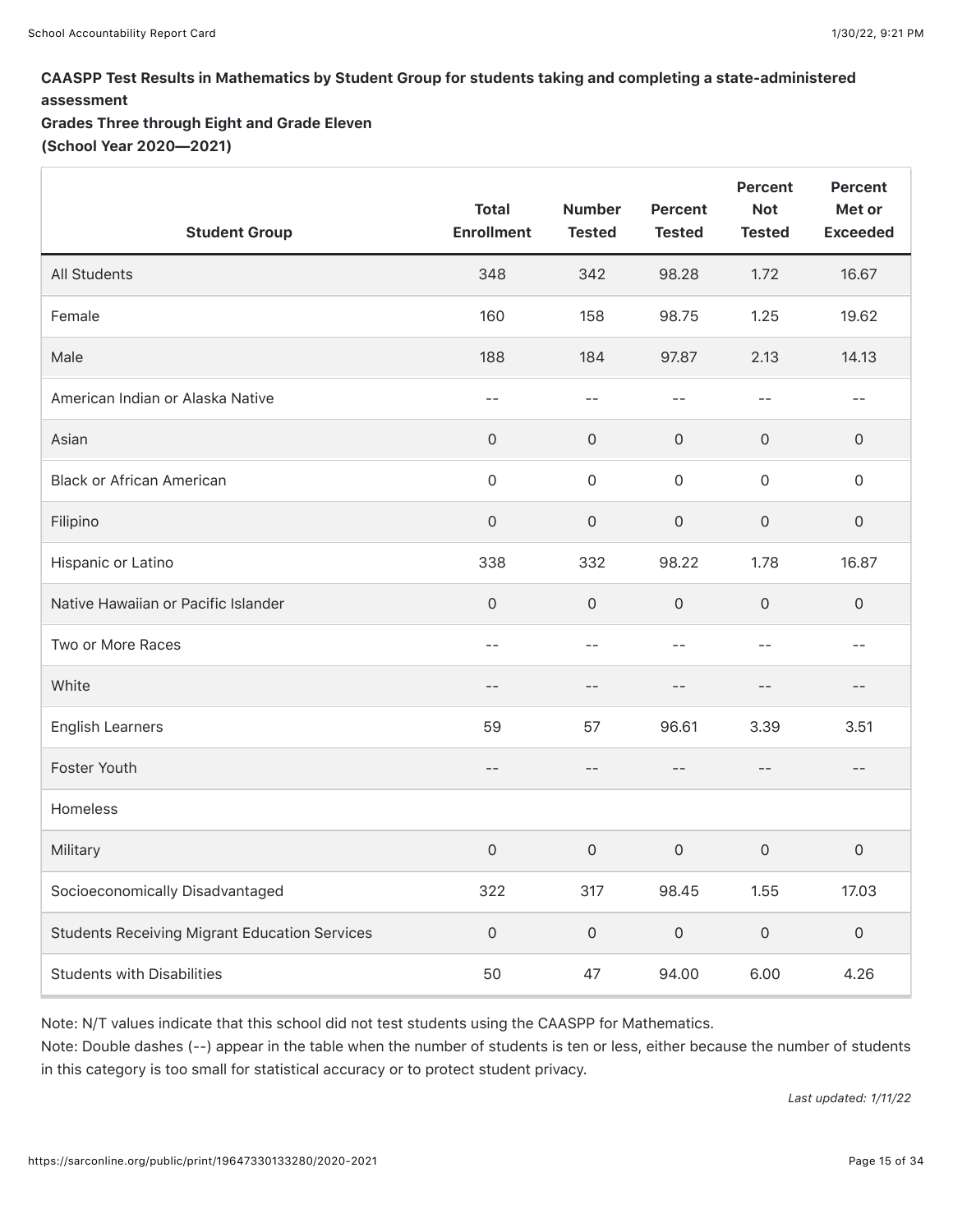## CAASPP Test Results in Mathematics by Student Group for students taking and completing a state-administered assessment

Grades Three through Eight and Grade Eleven (School Year 2020—2021)

| <b>Student Group</b>                                 | <b>Total</b><br><b>Enrollment</b> | <b>Number</b><br><b>Tested</b> | <b>Percent</b><br><b>Tested</b> | Percent<br><b>Not</b><br><b>Tested</b> | <b>Percent</b><br>Met or<br><b>Exceeded</b> |
|------------------------------------------------------|-----------------------------------|--------------------------------|---------------------------------|----------------------------------------|---------------------------------------------|
| <b>All Students</b>                                  | 348                               | 342                            | 98.28                           | 1.72                                   | 16.67                                       |
| Female                                               | 160                               | 158                            | 98.75                           | 1.25                                   | 19.62                                       |
| Male                                                 | 188                               | 184                            | 97.87                           | 2.13                                   | 14.13                                       |
| American Indian or Alaska Native                     | $-$                               | $-$                            | $-$                             | $-$                                    | $- -$                                       |
| Asian                                                | $\mathsf{O}\xspace$               | $\mathsf{O}\xspace$            | $\mathsf{O}\xspace$             | $\mathsf{O}\xspace$                    | 0                                           |
| <b>Black or African American</b>                     | $\mathsf{O}\xspace$               | $\mathsf{O}\xspace$            | $\mathsf{O}\xspace$             | $\mathsf{O}\xspace$                    | $\mathsf{O}\xspace$                         |
| Filipino                                             | $\mathsf{O}\xspace$               | $\mathsf{O}\xspace$            | $\mathsf{O}\xspace$             | $\mathsf{O}\xspace$                    | $\mathsf{O}\xspace$                         |
| Hispanic or Latino                                   | 338                               | 332                            | 98.22                           | 1.78                                   | 16.87                                       |
| Native Hawaiian or Pacific Islander                  | $\mathsf{O}\xspace$               | $\mathsf{O}\xspace$            | $\mathsf{O}\xspace$             | $\mathsf{O}\xspace$                    | $\mathsf{O}\xspace$                         |
| Two or More Races                                    | $-$                               | $-$                            | $=$ $=$                         | $-1$                                   | $-$                                         |
| White                                                | $-$                               | $-$                            | $-$                             | $-$                                    | $ -$                                        |
| <b>English Learners</b>                              | 59                                | 57                             | 96.61                           | 3.39                                   | 3.51                                        |
| Foster Youth                                         | $ -$                              | $\qquad \qquad -$              | $\qquad \qquad -$               | $-$                                    | $- -$                                       |
| Homeless                                             |                                   |                                |                                 |                                        |                                             |
| Military                                             | $\mathsf{O}\xspace$               | $\mathsf{O}\xspace$            | $\mathsf{O}\xspace$             | $\mathsf{O}\xspace$                    | $\mathsf{O}\xspace$                         |
| Socioeconomically Disadvantaged                      | 322                               | 317                            | 98.45                           | 1.55                                   | 17.03                                       |
| <b>Students Receiving Migrant Education Services</b> | $\mathsf{O}\xspace$               | $\mathsf{O}\xspace$            | $\mathsf{O}\xspace$             | $\mathsf{O}\xspace$                    | $\mathsf{O}\xspace$                         |
| <b>Students with Disabilities</b>                    | 50                                | 47                             | 94.00                           | 6.00                                   | 4.26                                        |

Note: N/T values indicate that this school did not test students using the CAASPP for Mathematics. Note: Double dashes (--) appear in the table when the number of students is ten or less, either because the number of students in this category is too small for statistical accuracy or to protect student privacy.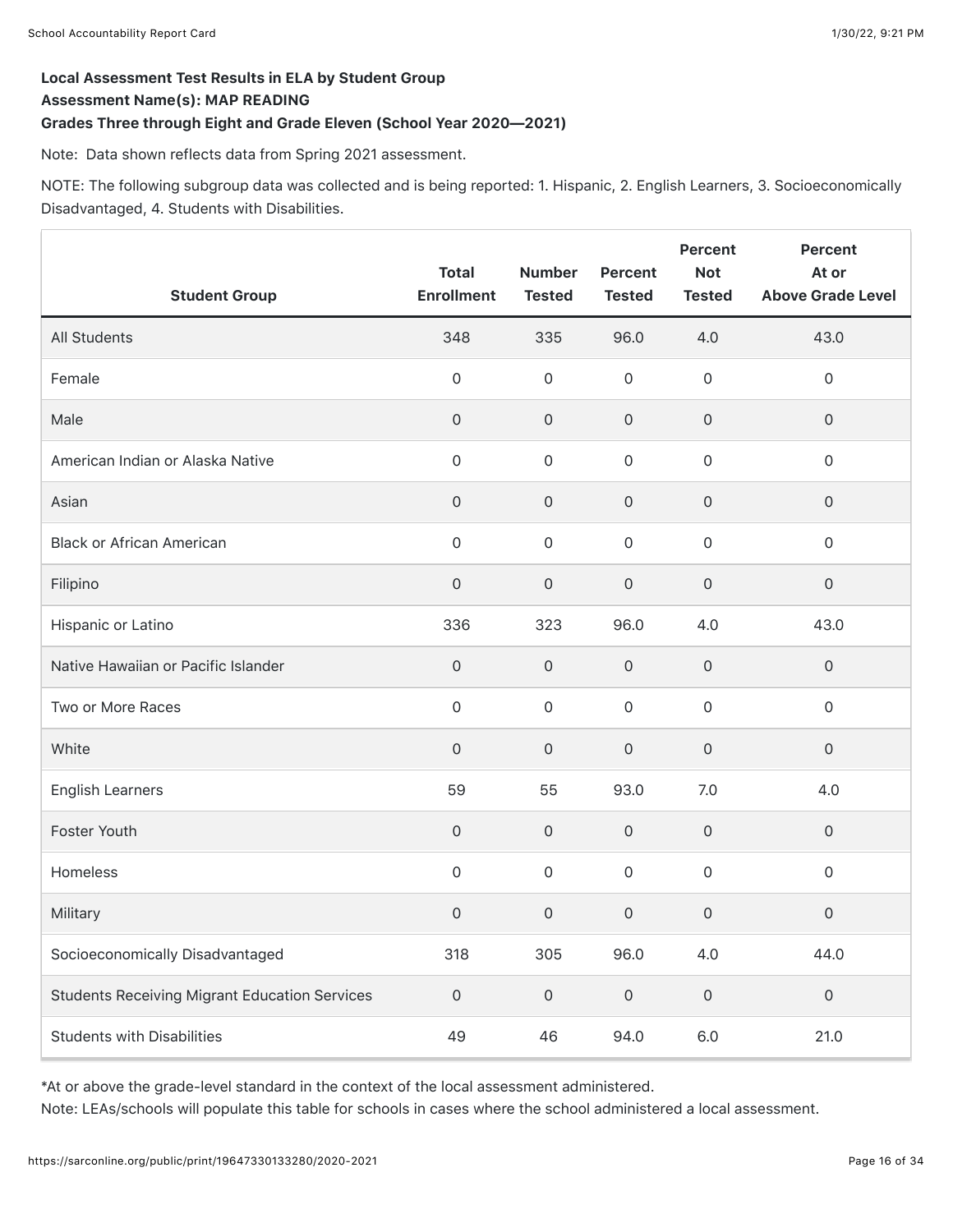### Local Assessment Test Results in ELA by Student Group Assessment Name(s): MAP READING Grades Three through Eight and Grade Eleven (School Year 2020—2021)

Note: Data shown reflects data from Spring 2021 assessment.

NOTE: The following subgroup data was collected and is being reported: 1. Hispanic, 2. English Learners, 3. Socioeconomically Disadvantaged, 4. Students with Disabilities.

| <b>Student Group</b>                                 | <b>Total</b><br><b>Enrollment</b> | <b>Number</b><br><b>Tested</b> | <b>Percent</b><br><b>Tested</b> | <b>Percent</b><br><b>Not</b><br><b>Tested</b> | Percent<br>At or<br><b>Above Grade Level</b> |
|------------------------------------------------------|-----------------------------------|--------------------------------|---------------------------------|-----------------------------------------------|----------------------------------------------|
| <b>All Students</b>                                  | 348                               | 335                            | 96.0                            | 4.0                                           | 43.0                                         |
| Female                                               | 0                                 | $\mathsf{O}\xspace$            | $\mathsf{O}\xspace$             | $\mathsf{O}\xspace$                           | $\mathsf{O}\xspace$                          |
| Male                                                 | $\mathsf{O}\xspace$               | $\mathsf{O}\xspace$            | $\mathsf{O}\xspace$             | $\mathsf{O}\xspace$                           | $\mathsf{O}\xspace$                          |
| American Indian or Alaska Native                     | 0                                 | $\mathbf 0$                    | $\mathsf{O}\xspace$             | $\mathsf{O}\xspace$                           | $\mathsf{O}\xspace$                          |
| Asian                                                | 0                                 | $\mathsf{O}\xspace$            | 0                               | $\mathsf{O}\xspace$                           | $\mathsf O$                                  |
| <b>Black or African American</b>                     | 0                                 | $\mathbf 0$                    | $\mathsf{O}\xspace$             | $\mathsf{O}\xspace$                           | $\mathsf O$                                  |
| Filipino                                             | 0                                 | $\mathsf{O}\xspace$            | 0                               | $\mathsf{O}\xspace$                           | $\mathsf{O}\xspace$                          |
| Hispanic or Latino                                   | 336                               | 323                            | 96.0                            | 4.0                                           | 43.0                                         |
| Native Hawaiian or Pacific Islander                  | $\mathsf{O}\xspace$               | $\mathsf{O}\xspace$            | $\mathsf{O}\xspace$             | $\mathsf{O}\xspace$                           | $\mathsf{O}\xspace$                          |
| Two or More Races                                    | 0                                 | $\mathbf 0$                    | 0                               | $\mathsf{O}\xspace$                           | $\mathsf{O}\xspace$                          |
| White                                                | $\mathsf{O}\xspace$               | $\mathsf{O}\xspace$            | $\mathsf{O}\xspace$             | $\mathsf{O}\xspace$                           | $\mathsf{O}\xspace$                          |
| <b>English Learners</b>                              | 59                                | 55                             | 93.0                            | 7.0                                           | 4.0                                          |
| Foster Youth                                         | 0                                 | $\mathsf{O}\xspace$            | $\mathsf{O}\xspace$             | $\mathsf{O}\xspace$                           | $\mathbf 0$                                  |
| Homeless                                             | 0                                 | $\mathsf{O}\xspace$            | $\mathsf{O}\xspace$             | $\mathsf{O}\xspace$                           | $\mathsf{O}\xspace$                          |
| Military                                             | 0                                 | $\mathsf{O}\xspace$            | $\mathsf{O}\xspace$             | $\mathsf{O}\xspace$                           | $\mathsf{O}\xspace$                          |
| Socioeconomically Disadvantaged                      | 318                               | 305                            | 96.0                            | 4.0                                           | 44.0                                         |
| <b>Students Receiving Migrant Education Services</b> | $\mathsf{O}\xspace$               | $\mathsf{O}\xspace$            | $\mathsf{O}\xspace$             | $\mathsf{O}\xspace$                           | $\mathsf{O}\xspace$                          |
| <b>Students with Disabilities</b>                    | 49                                | 46                             | 94.0                            | $6.0\,$                                       | 21.0                                         |

\*At or above the grade-level standard in the context of the local assessment administered.

Note: LEAs/schools will populate this table for schools in cases where the school administered a local assessment.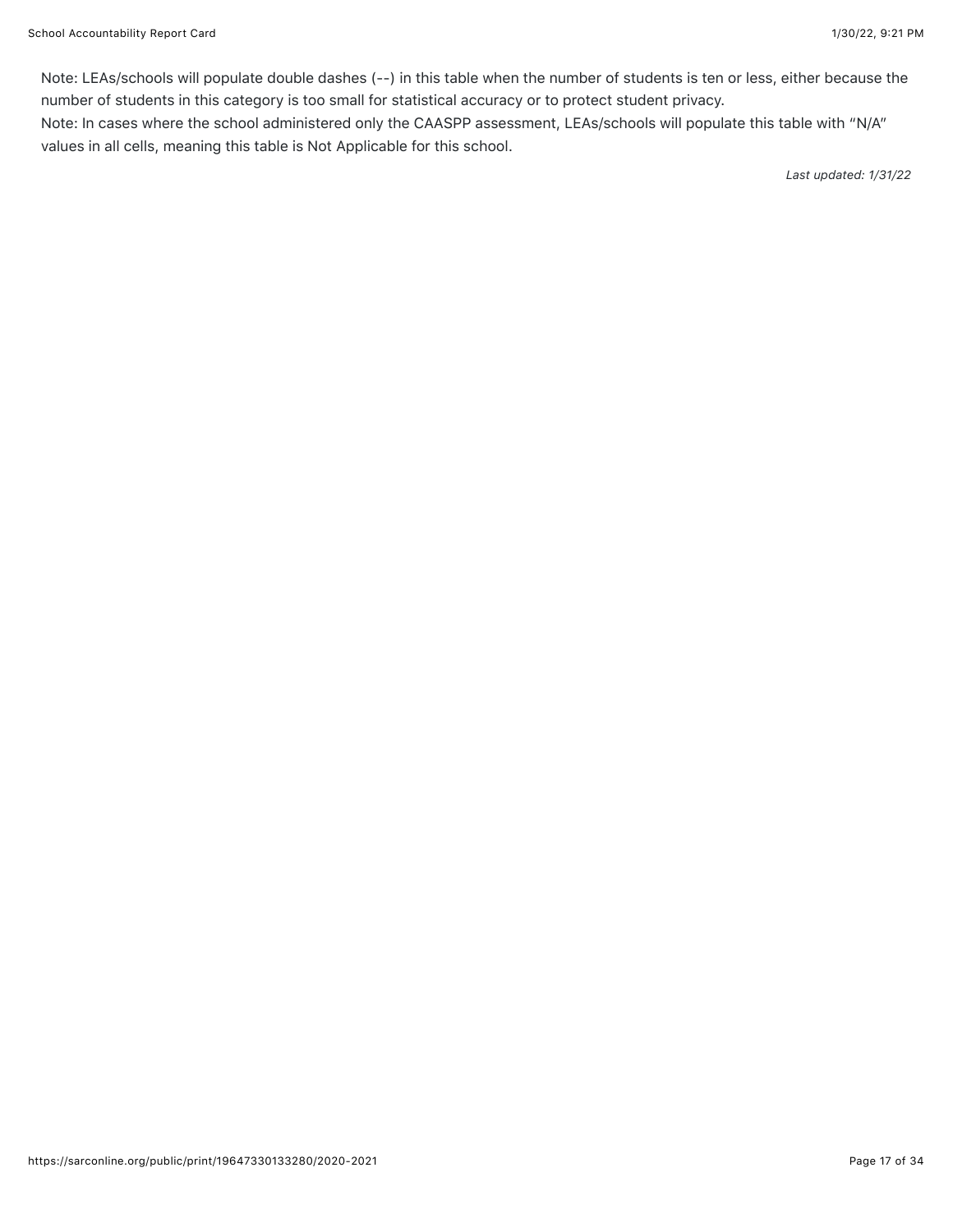Note: LEAs/schools will populate double dashes (--) in this table when the number of students is ten or less, either because the number of students in this category is too small for statistical accuracy or to protect student privacy.

Note: In cases where the school administered only the CAASPP assessment, LEAs/schools will populate this table with "N/A" values in all cells, meaning this table is Not Applicable for this school.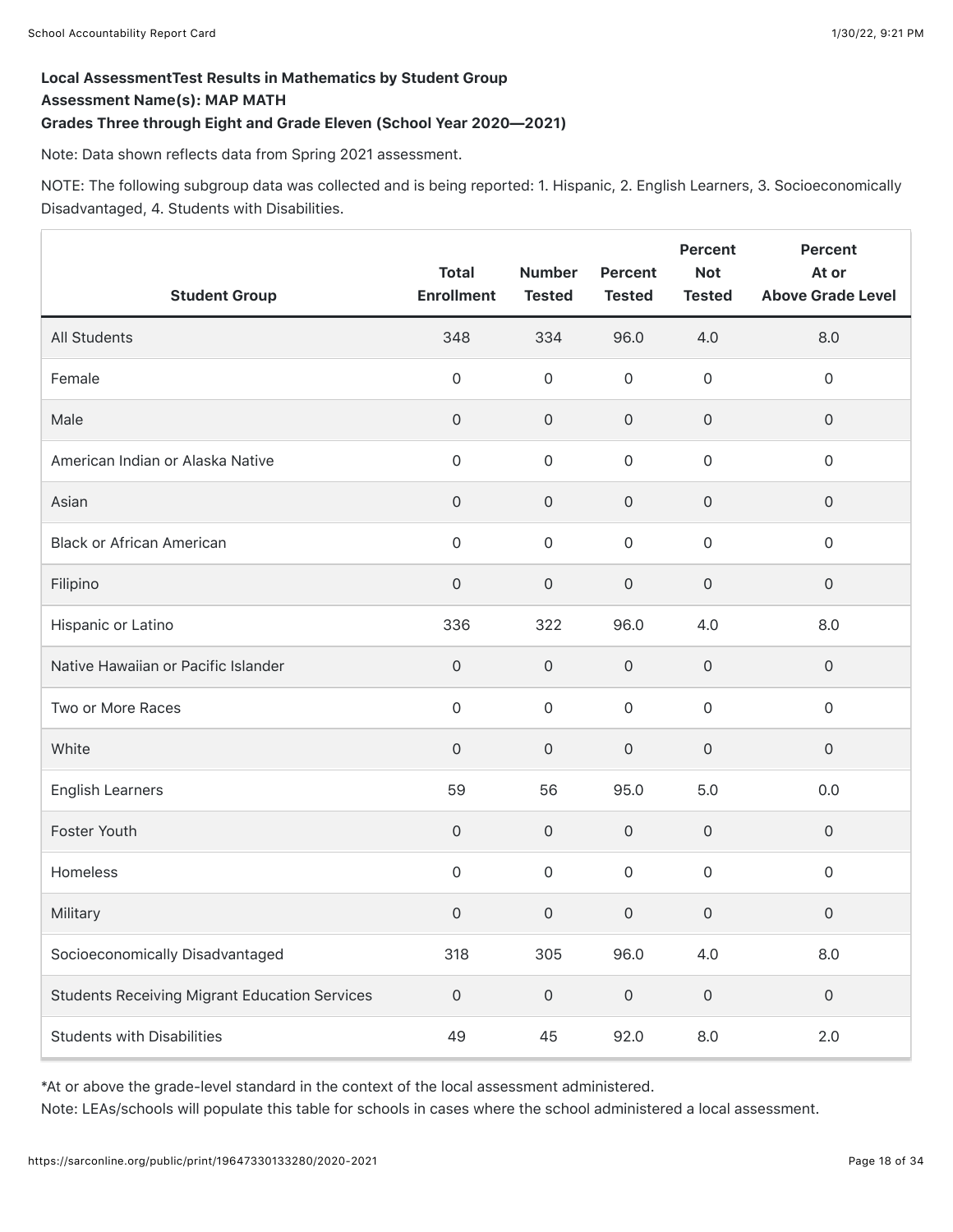## Local AssessmentTest Results in Mathematics by Student Group Assessment Name(s): MAP MATH

### Grades Three through Eight and Grade Eleven (School Year 2020—2021)

Note: Data shown reflects data from Spring 2021 assessment.

NOTE: The following subgroup data was collected and is being reported: 1. Hispanic, 2. English Learners, 3. Socioeconomically Disadvantaged, 4. Students with Disabilities.

| <b>Student Group</b>                                 | <b>Total</b><br><b>Enrollment</b> | <b>Number</b><br><b>Tested</b> | <b>Percent</b><br><b>Tested</b> | <b>Percent</b><br><b>Not</b><br><b>Tested</b> | <b>Percent</b><br>At or<br><b>Above Grade Level</b> |
|------------------------------------------------------|-----------------------------------|--------------------------------|---------------------------------|-----------------------------------------------|-----------------------------------------------------|
| All Students                                         | 348                               | 334                            | 96.0                            | 4.0                                           | 8.0                                                 |
| Female                                               | $\mathsf{O}\xspace$               | $\mathsf{O}\xspace$            | $\mathsf{O}\xspace$             | $\mathsf{O}\xspace$                           | $\mathsf{O}\xspace$                                 |
| Male                                                 | $\mathsf{O}\xspace$               | $\mathsf{O}\xspace$            | $\mathsf{O}\xspace$             | $\mathsf{O}\xspace$                           | $\mathsf{O}\xspace$                                 |
| American Indian or Alaska Native                     | $\mathsf{O}\xspace$               | $\mathsf{O}\xspace$            | $\mathsf{O}\xspace$             | $\mathsf{O}\xspace$                           | $\mathsf{O}\xspace$                                 |
| Asian                                                | $\mathsf{O}\xspace$               | $\mathsf{O}\xspace$            | $\mathsf{O}\xspace$             | $\mathsf{O}\xspace$                           | $\mathsf{O}\xspace$                                 |
| <b>Black or African American</b>                     | $\mathsf{O}\xspace$               | $\mathbf 0$                    | $\mathsf{O}\xspace$             | $\mathsf O$                                   | $\mathsf{O}\xspace$                                 |
| Filipino                                             | $\mathsf{O}\xspace$               | $\mathsf{O}\xspace$            | $\mathsf{O}\xspace$             | $\mathsf{O}\xspace$                           | $\mathbf 0$                                         |
| Hispanic or Latino                                   | 336                               | 322                            | 96.0                            | 4.0                                           | 8.0                                                 |
| Native Hawaiian or Pacific Islander                  | $\mathsf{O}\xspace$               | $\mathsf{O}\xspace$            | $\mathsf{O}\xspace$             | $\mathsf{O}\xspace$                           | $\mathbf 0$                                         |
| Two or More Races                                    | $\mathbf 0$                       | $\mathbf 0$                    | $\mathbf 0$                     | $\mathbf 0$                                   | $\mathsf{O}\xspace$                                 |
| White                                                | $\mathbf 0$                       | $\mathsf{O}\xspace$            | $\mathsf{O}\xspace$             | $\mathsf{O}\xspace$                           | $\mathbf 0$                                         |
| <b>English Learners</b>                              | 59                                | 56                             | 95.0                            | 5.0                                           | 0.0                                                 |
| Foster Youth                                         | $\mathsf{O}\xspace$               | $\mathbf 0$                    | $\mathsf{O}\xspace$             | $\mathsf{O}\xspace$                           | $\mathbf 0$                                         |
| Homeless                                             | $\mathsf{O}\xspace$               | $\mathsf{O}\xspace$            | $\mathsf{O}\xspace$             | $\mathsf{O}\xspace$                           | $\mathsf{O}\xspace$                                 |
| Military                                             | $\mathsf{O}\xspace$               | $\mathsf{O}\xspace$            | $\mathsf{O}\xspace$             | $\mathsf{O}\xspace$                           | $\mathsf{O}\xspace$                                 |
| Socioeconomically Disadvantaged                      | 318                               | 305                            | 96.0                            | 4.0                                           | 8.0                                                 |
| <b>Students Receiving Migrant Education Services</b> | $\mathsf{O}\xspace$               | $\mathsf{O}\xspace$            | $\mathsf{O}\xspace$             | $\mathsf{O}\xspace$                           | $\mathsf{O}\xspace$                                 |
| <b>Students with Disabilities</b>                    | 49                                | 45                             | 92.0                            | $8.0\,$                                       | $2.0\,$                                             |

\*At or above the grade-level standard in the context of the local assessment administered.

Note: LEAs/schools will populate this table for schools in cases where the school administered a local assessment.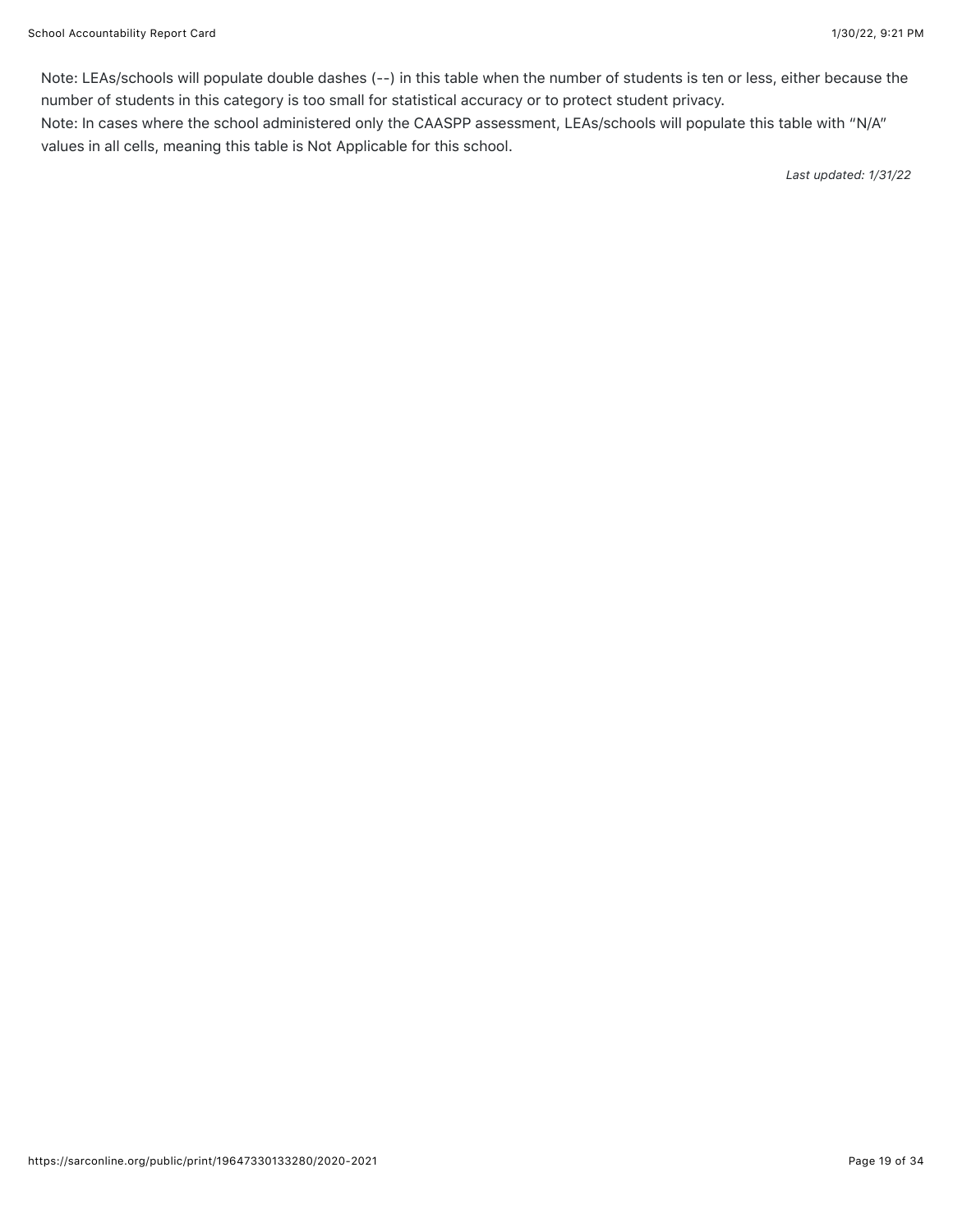Note: LEAs/schools will populate double dashes (--) in this table when the number of students is ten or less, either because the number of students in this category is too small for statistical accuracy or to protect student privacy.

Note: In cases where the school administered only the CAASPP assessment, LEAs/schools will populate this table with "N/A" values in all cells, meaning this table is Not Applicable for this school.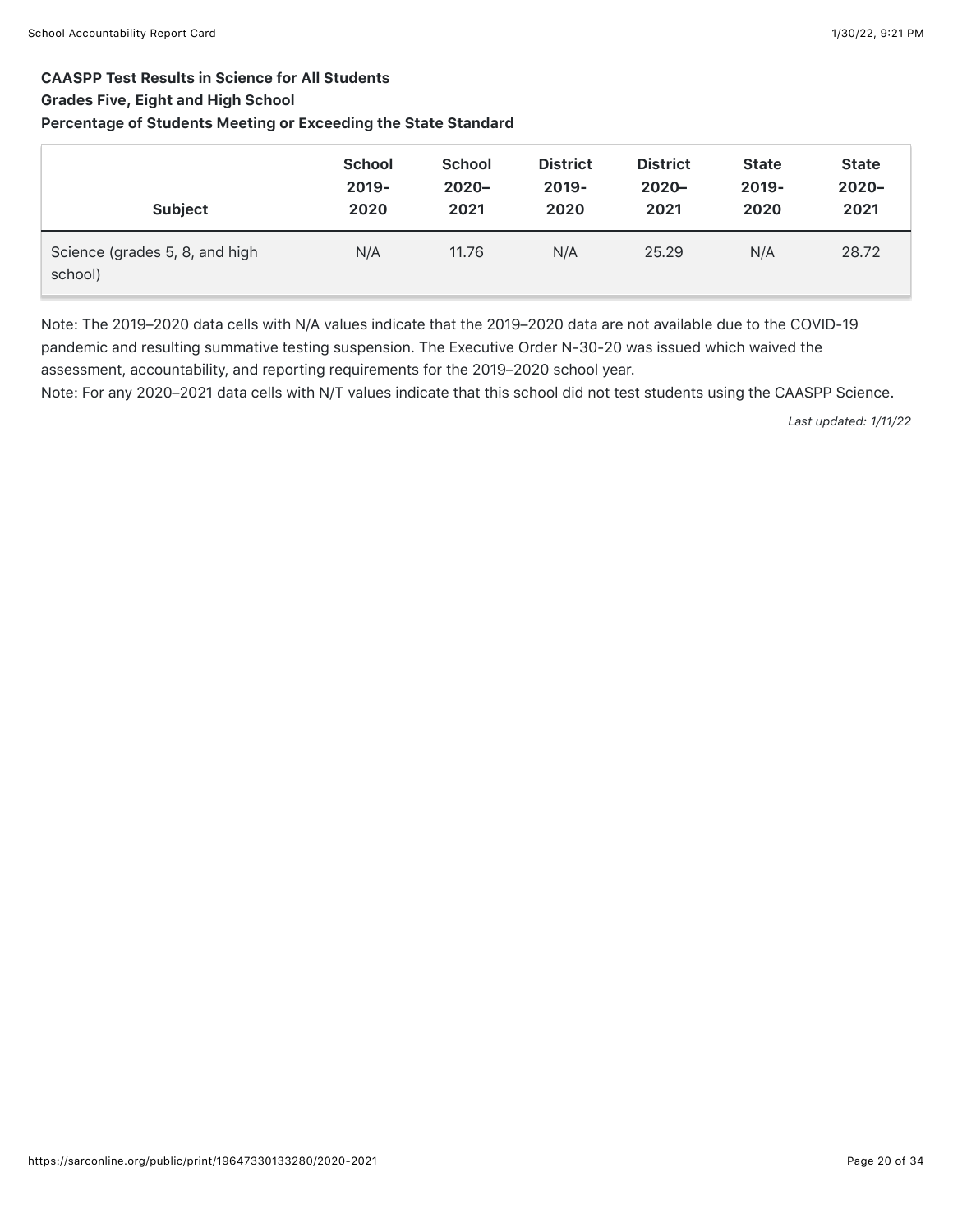## CAASPP Test Results in Science for All Students

#### Grades Five, Eight and High School

### Percentage of Students Meeting or Exceeding the State Standard

| <b>Subject</b>                            | <b>School</b> | <b>School</b> | <b>District</b> | <b>District</b> | <b>State</b> | <b>State</b> |
|-------------------------------------------|---------------|---------------|-----------------|-----------------|--------------|--------------|
|                                           | $2019 -$      | $2020 -$      | $2019 -$        | $2020 -$        | $2019 -$     | $2020 -$     |
|                                           | 2020          | 2021          | 2020            | 2021            | 2020         | 2021         |
| Science (grades 5, 8, and high<br>school) | N/A           | 11.76         | N/A             | 25.29           | N/A          | 28.72        |

Note: The 2019–2020 data cells with N/A values indicate that the 2019–2020 data are not available due to the COVID-19 pandemic and resulting summative testing suspension. The Executive Order N-30-20 was issued which waived the assessment, accountability, and reporting requirements for the 2019–2020 school year.

Note: For any 2020–2021 data cells with N/T values indicate that this school did not test students using the CAASPP Science.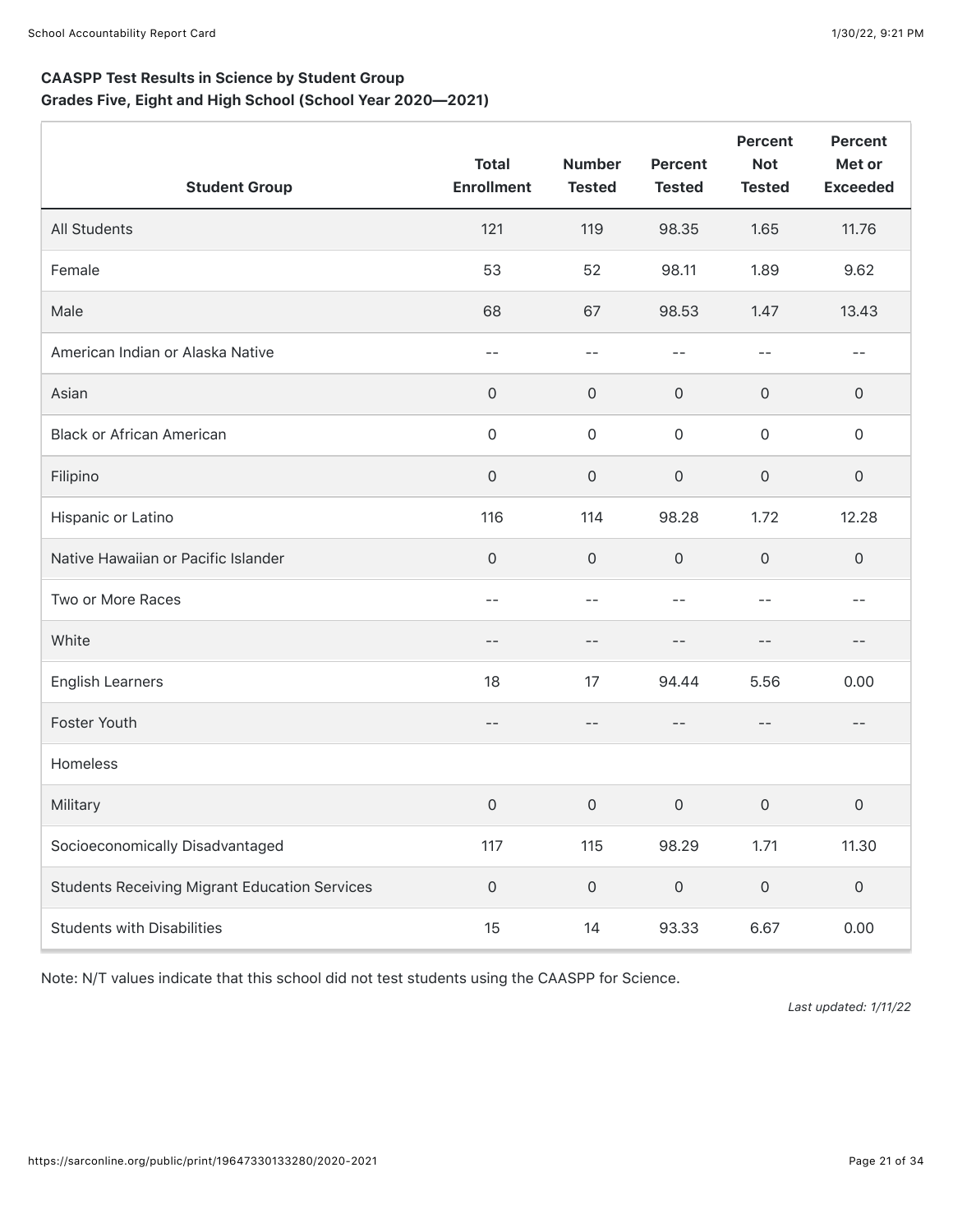## CAASPP Test Results in Science by Student Group Grades Five, Eight and High School (School Year 2020—2021)

| <b>Student Group</b>                                 | <b>Total</b><br><b>Enrollment</b> | <b>Number</b><br><b>Tested</b> | <b>Percent</b><br><b>Tested</b> | <b>Percent</b><br><b>Not</b><br><b>Tested</b> | <b>Percent</b><br>Met or<br><b>Exceeded</b> |
|------------------------------------------------------|-----------------------------------|--------------------------------|---------------------------------|-----------------------------------------------|---------------------------------------------|
| All Students                                         | 121                               | 119                            | 98.35                           | 1.65                                          | 11.76                                       |
| Female                                               | 53                                | 52                             | 98.11                           | 1.89                                          | 9.62                                        |
| Male                                                 | 68                                | 67                             | 98.53                           | 1.47                                          | 13.43                                       |
| American Indian or Alaska Native                     | $ -$                              | $-$                            | $-1$                            | $- -$                                         | $- -$                                       |
| Asian                                                | $\mathsf O$                       | $\mathbf 0$                    | $\mathsf O$                     | 0                                             | 0                                           |
| <b>Black or African American</b>                     | $\mathsf{O}\xspace$               | $\mathbf 0$                    | $\mathsf{O}\xspace$             | $\mathsf{O}\xspace$                           | $\mathsf{O}\xspace$                         |
| Filipino                                             | $\mathsf{O}\xspace$               | $\mathsf{O}\xspace$            | $\mathsf{O}\xspace$             | 0                                             | 0                                           |
| Hispanic or Latino                                   | 116                               | 114                            | 98.28                           | 1.72                                          | 12.28                                       |
| Native Hawaiian or Pacific Islander                  | $\mathsf{O}\xspace$               | $\mathbf 0$                    | $\mathsf{O}\xspace$             | $\mathsf{O}\xspace$                           | 0                                           |
| Two or More Races                                    | --                                | $-$                            | --                              | $ -$                                          | $- -$                                       |
| White                                                | --                                | $- -$                          | $-1$                            | $ -$                                          | --                                          |
| <b>English Learners</b>                              | 18                                | 17                             | 94.44                           | 5.56                                          | 0.00                                        |
| Foster Youth                                         | --                                | $- -$                          | $-$                             | $\qquad \qquad -$                             | $- -$                                       |
| Homeless                                             |                                   |                                |                                 |                                               |                                             |
| Military                                             | 0                                 | $\mathsf{O}\xspace$            | $\mathsf{O}\xspace$             | 0                                             | 0                                           |
| Socioeconomically Disadvantaged                      | 117                               | 115                            | 98.29                           | 1.71                                          | 11.30                                       |
| <b>Students Receiving Migrant Education Services</b> | $\mathsf{O}\xspace$               | $\mathsf{O}\xspace$            | $\mathsf{O}\xspace$             | $\mathsf{O}\xspace$                           | $\mathsf{O}\xspace$                         |
| <b>Students with Disabilities</b>                    | 15                                | 14                             | 93.33                           | 6.67                                          | 0.00                                        |

Note: N/T values indicate that this school did not test students using the CAASPP for Science.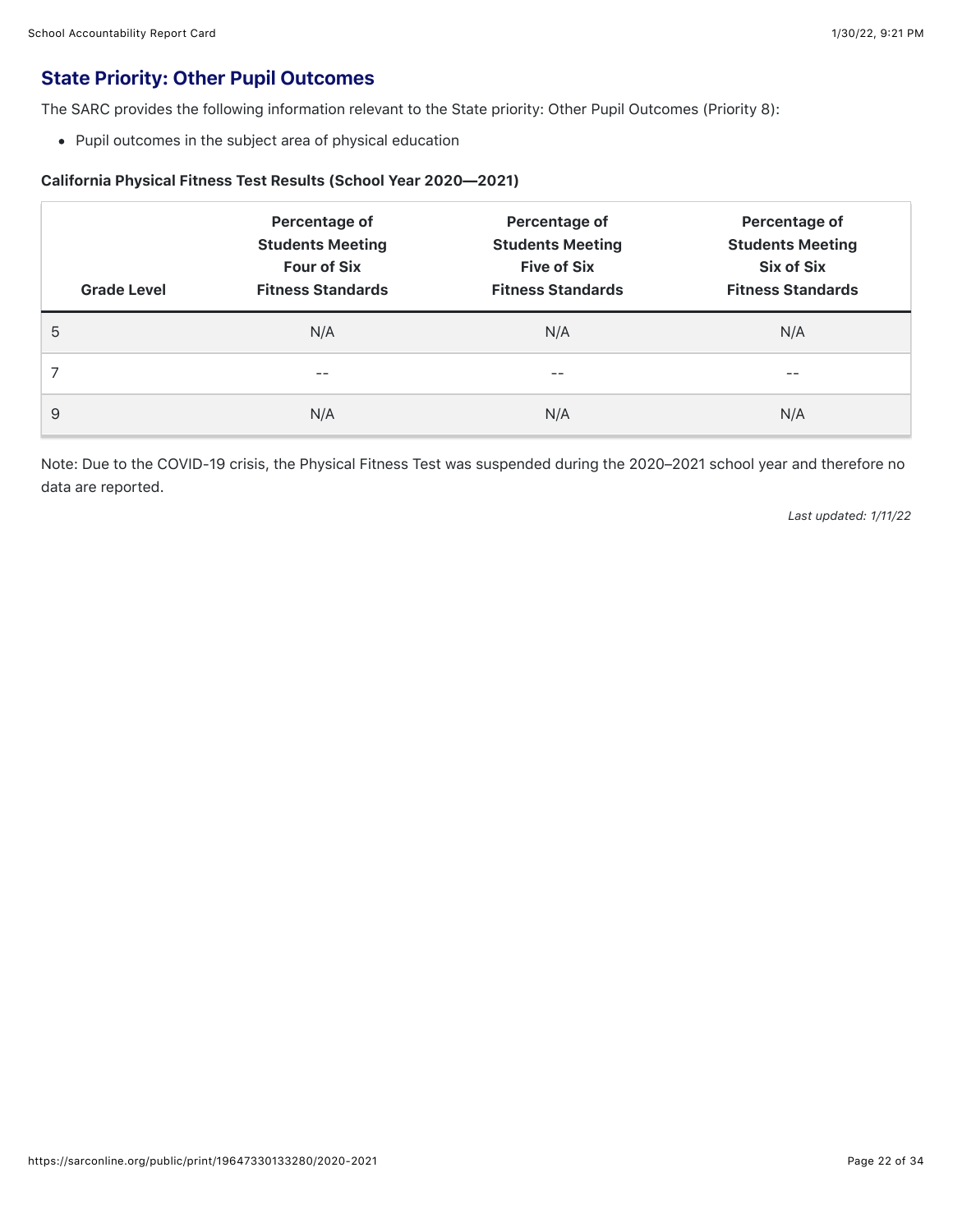## State Priority: Other Pupil Outcomes

The SARC provides the following information relevant to the State priority: Other Pupil Outcomes (Priority 8):

Pupil outcomes in the subject area of physical education

#### California Physical Fitness Test Results (School Year 2020—2021)

| <b>Grade Level</b> | Percentage of<br><b>Students Meeting</b><br><b>Four of Six</b><br><b>Fitness Standards</b> | Percentage of<br><b>Students Meeting</b><br><b>Five of Six</b><br><b>Fitness Standards</b> | Percentage of<br><b>Students Meeting</b><br><b>Six of Six</b><br><b>Fitness Standards</b> |
|--------------------|--------------------------------------------------------------------------------------------|--------------------------------------------------------------------------------------------|-------------------------------------------------------------------------------------------|
| 5                  | N/A                                                                                        | N/A                                                                                        | N/A                                                                                       |
|                    | --                                                                                         | --                                                                                         | --                                                                                        |
| 9                  | N/A                                                                                        | N/A                                                                                        | N/A                                                                                       |

Note: Due to the COVID-19 crisis, the Physical Fitness Test was suspended during the 2020–2021 school year and therefore no data are reported.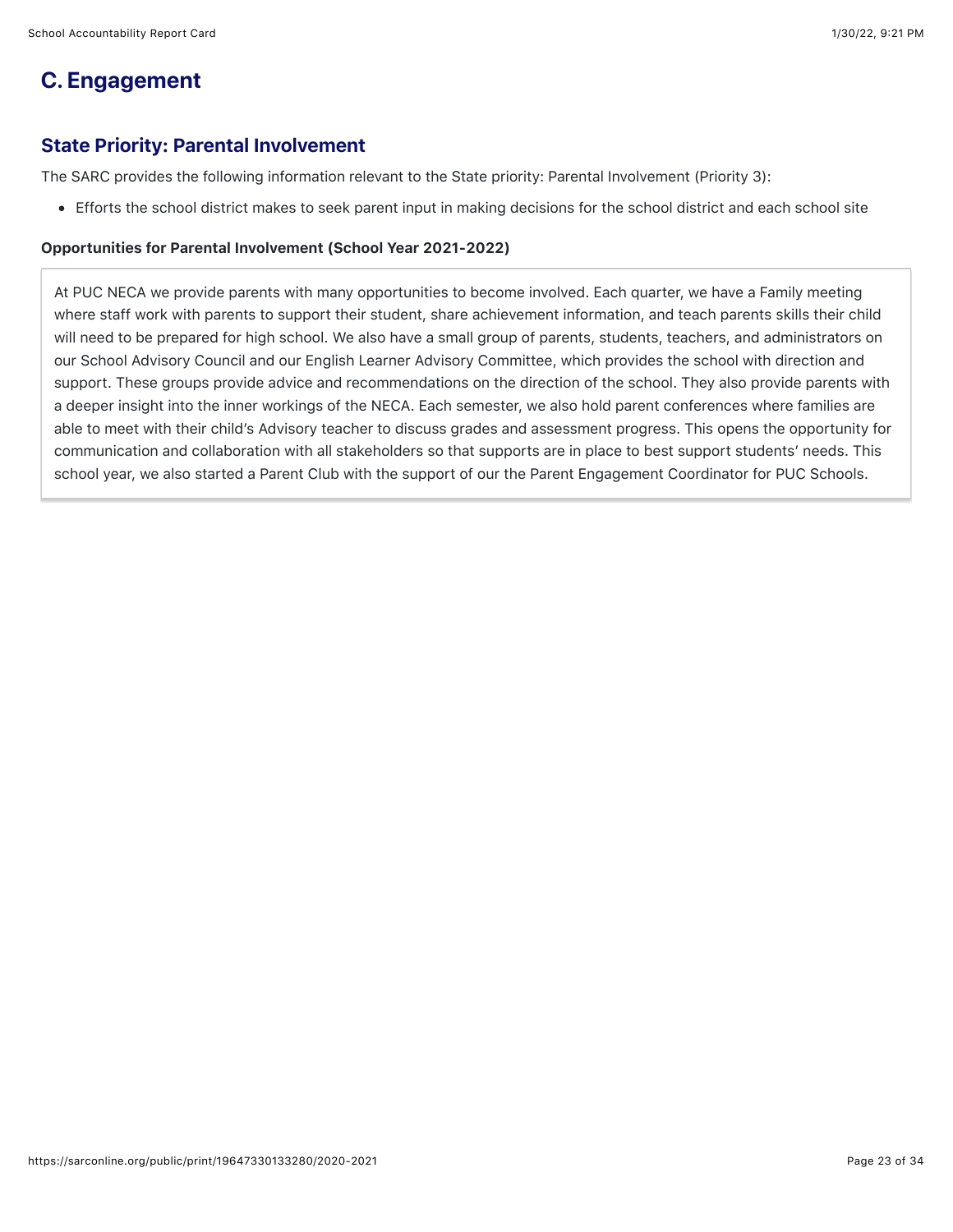## **C. Engagement**

## State Priority: Parental Involvement

The SARC provides the following information relevant to the State priority: Parental Involvement (Priority 3):

Efforts the school district makes to seek parent input in making decisions for the school district and each school site

#### Opportunities for Parental Involvement (School Year 2021-2022)

At PUC NECA we provide parents with many opportunities to become involved. Each quarter, we have a Family meeting where staff work with parents to support their student, share achievement information, and teach parents skills their child will need to be prepared for high school. We also have a small group of parents, students, teachers, and administrators on our School Advisory Council and our English Learner Advisory Committee, which provides the school with direction and support. These groups provide advice and recommendations on the direction of the school. They also provide parents with a deeper insight into the inner workings of the NECA. Each semester, we also hold parent conferences where families are able to meet with their child's Advisory teacher to discuss grades and assessment progress. This opens the opportunity for communication and collaboration with all stakeholders so that supports are in place to best support students' needs. This school year, we also started a Parent Club with the support of our the Parent Engagement Coordinator for PUC Schools.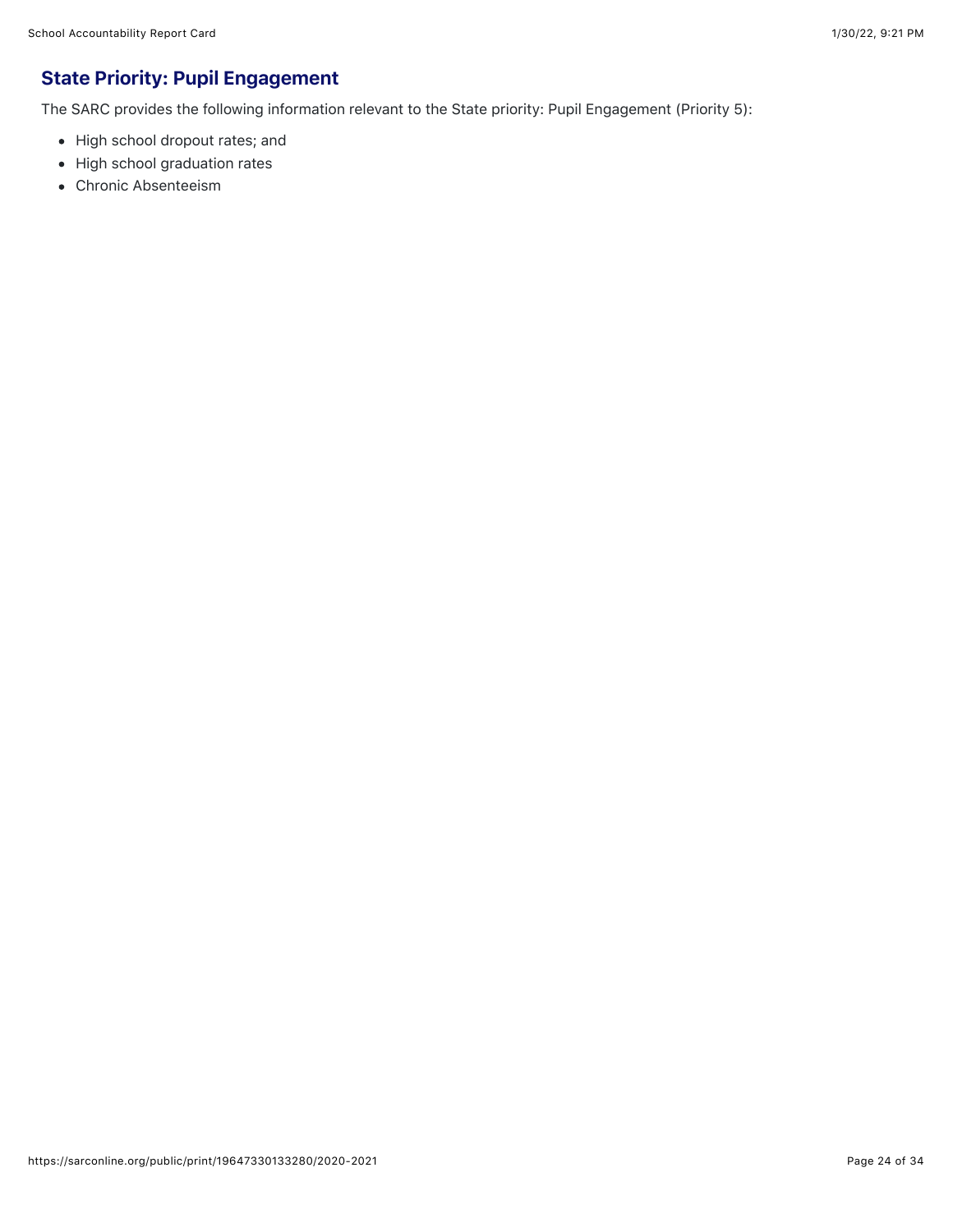## State Priority: Pupil Engagement

The SARC provides the following information relevant to the State priority: Pupil Engagement (Priority 5):

- High school dropout rates; and
- High school graduation rates
- Chronic Absenteeism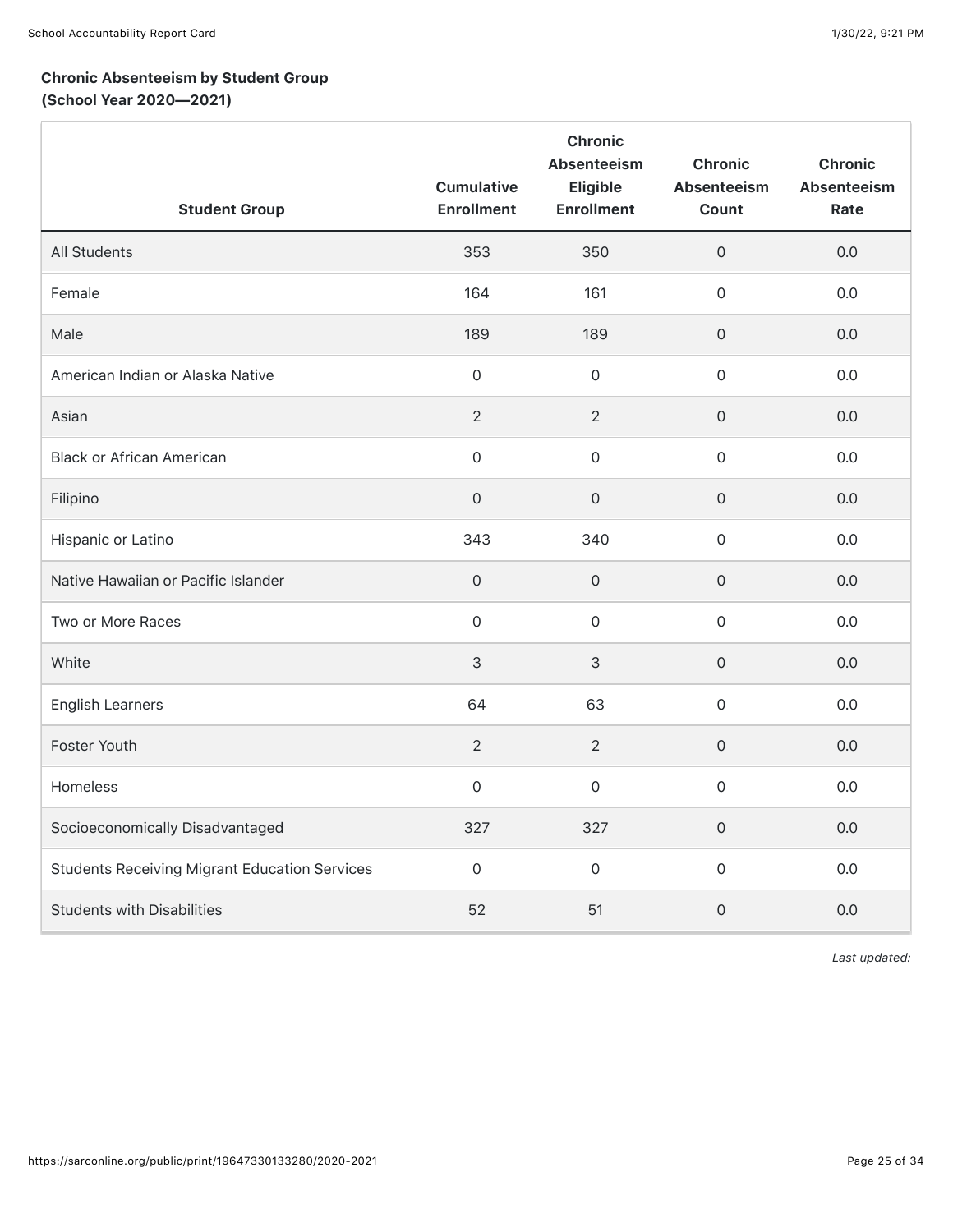## Chronic Absenteeism by Student Group (School Year 2020—2021)

| <b>Student Group</b>                                 | <b>Cumulative</b><br><b>Enrollment</b> | Chronic<br><b>Absenteeism</b><br>Eligible<br><b>Enrollment</b> | <b>Chronic</b><br>Absenteeism<br>Count | <b>Chronic</b><br><b>Absenteeism</b><br>Rate |
|------------------------------------------------------|----------------------------------------|----------------------------------------------------------------|----------------------------------------|----------------------------------------------|
| <b>All Students</b>                                  | 353                                    | 350                                                            | $\mathsf{O}\xspace$                    | 0.0                                          |
| Female                                               | 164                                    | 161                                                            | $\mathsf{O}\xspace$                    | 0.0                                          |
| Male                                                 | 189                                    | 189                                                            | $\mathsf{O}\xspace$                    | 0.0                                          |
| American Indian or Alaska Native                     | $\overline{0}$                         | 0                                                              | $\mathbf 0$                            | 0.0                                          |
| Asian                                                | 2                                      | $\overline{2}$                                                 | $\mathbf 0$                            | 0.0                                          |
| <b>Black or African American</b>                     | $\overline{0}$                         | 0                                                              | $\mathsf{O}\xspace$                    | 0.0                                          |
| Filipino                                             | $\mathsf{O}\xspace$                    | $\Omega$                                                       | $\mathsf{O}\xspace$                    | 0.0                                          |
| Hispanic or Latino                                   | 343                                    | 340                                                            | $\mathsf{O}\xspace$                    | 0.0                                          |
| Native Hawaiian or Pacific Islander                  | $\mathsf{O}\xspace$                    | $\mathsf{O}\xspace$                                            | $\mathsf{O}\xspace$                    | 0.0                                          |
| Two or More Races                                    | $\mathsf{O}$                           | $\mathbf 0$                                                    | $\mathsf{O}\xspace$                    | 0.0                                          |
| White                                                | $\mathsf 3$                            | 3                                                              | $\mathsf{O}\xspace$                    | 0.0                                          |
| <b>English Learners</b>                              | 64                                     | 63                                                             | $\mathsf{O}\xspace$                    | 0.0                                          |
| Foster Youth                                         | 2                                      | $\overline{2}$                                                 | $\mathsf{O}\xspace$                    | 0.0                                          |
| Homeless                                             | $\mathsf{O}$                           | $\mathsf{O}\xspace$                                            | $\mathsf{O}\xspace$                    | 0.0                                          |
| Socioeconomically Disadvantaged                      | 327                                    | 327                                                            | $\mathsf{O}\xspace$                    | 0.0                                          |
| <b>Students Receiving Migrant Education Services</b> | $\mathsf{O}$                           | $\mathbf 0$                                                    | $\mathsf{O}\xspace$                    | 0.0                                          |
| <b>Students with Disabilities</b>                    | 52                                     | 51                                                             | $\mathbf 0$                            | 0.0                                          |

*Last updated:*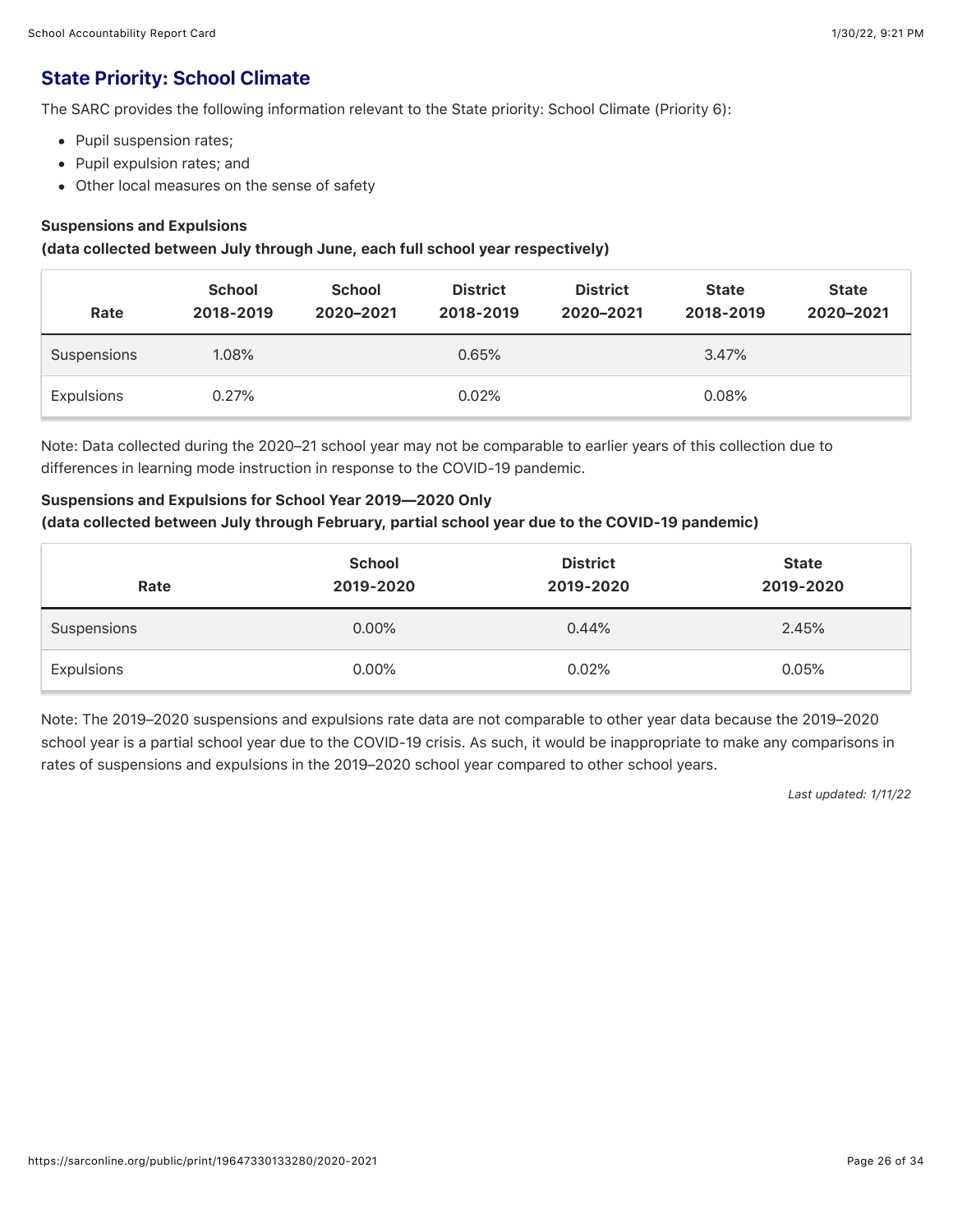## State Priority: School Climate

The SARC provides the following information relevant to the State priority: School Climate (Priority 6):

- Pupil suspension rates;
- Pupil expulsion rates; and
- Other local measures on the sense of safety

#### Suspensions and Expulsions

#### (data collected between July through June, each full school year respectively)

| Rate        | <b>School</b><br>2018-2019 | <b>School</b><br>2020-2021 | <b>District</b><br>2018-2019 | <b>District</b><br>2020-2021 | <b>State</b><br>2018-2019 | <b>State</b><br>2020-2021 |
|-------------|----------------------------|----------------------------|------------------------------|------------------------------|---------------------------|---------------------------|
| Suspensions | 1.08%                      |                            | 0.65%                        |                              | 3.47%                     |                           |
| Expulsions  | 0.27%                      |                            | 0.02%                        |                              | 0.08%                     |                           |

Note: Data collected during the 2020–21 school year may not be comparable to earlier years of this collection due to differences in learning mode instruction in response to the COVID-19 pandemic.

#### Suspensions and Expulsions for School Year 2019—2020 Only

#### (data collected between July through February, partial school year due to the COVID-19 pandemic)

| Rate        | <b>School</b><br>2019-2020 | <b>District</b><br>2019-2020 | <b>State</b><br>2019-2020 |
|-------------|----------------------------|------------------------------|---------------------------|
| Suspensions | $0.00\%$                   | 0.44%                        | 2.45%                     |
| Expulsions  | $0.00\%$                   | 0.02%                        | 0.05%                     |

Note: The 2019–2020 suspensions and expulsions rate data are not comparable to other year data because the 2019–2020 school year is a partial school year due to the COVID-19 crisis. As such, it would be inappropriate to make any comparisons in rates of suspensions and expulsions in the 2019–2020 school year compared to other school years.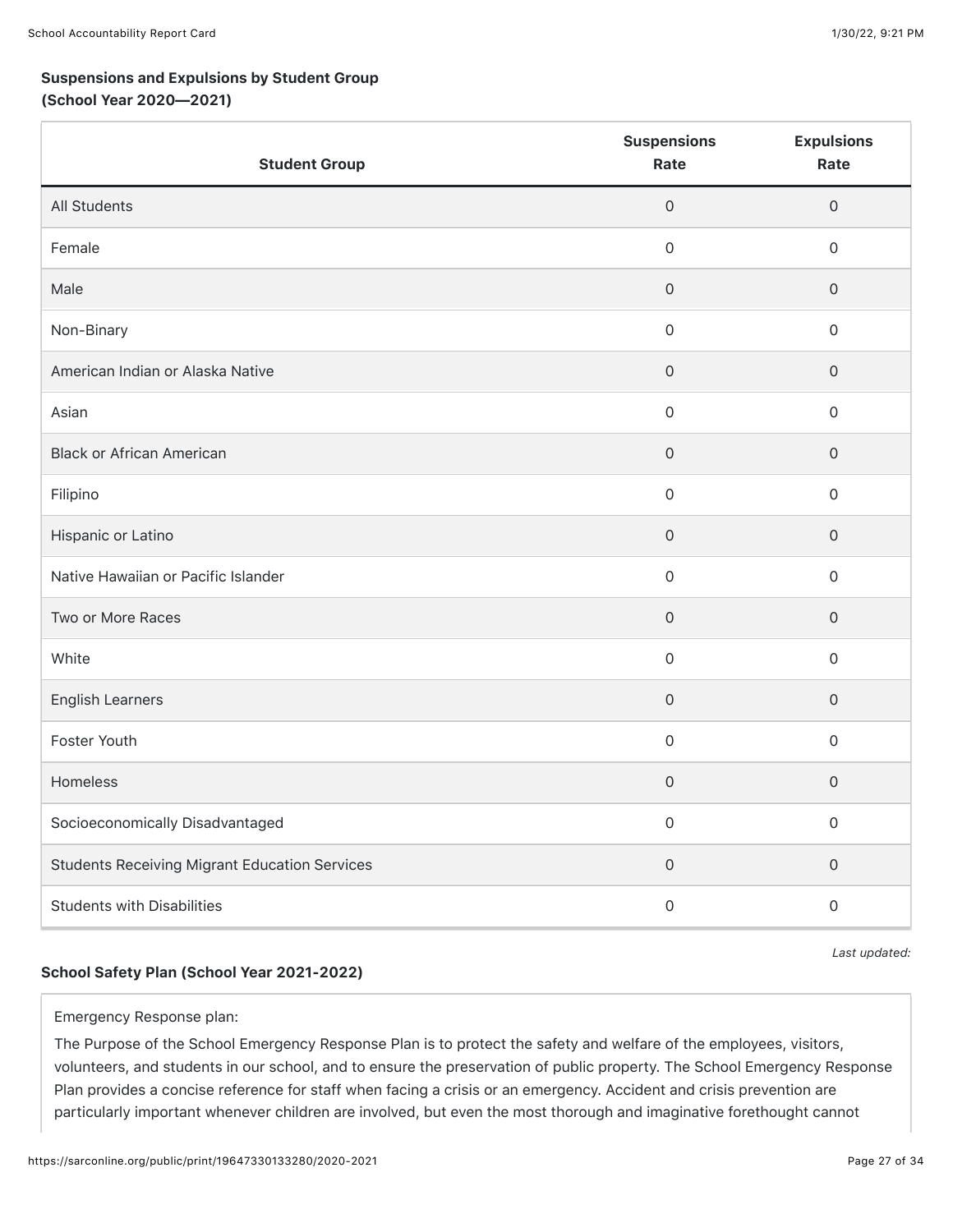## Suspensions and Expulsions by Student Group

### (School Year 2020—2021)

| <b>Student Group</b>                                 | <b>Suspensions</b><br>Rate | <b>Expulsions</b><br>Rate |
|------------------------------------------------------|----------------------------|---------------------------|
| <b>All Students</b>                                  | $\mathsf{O}\xspace$        | $\mathsf{O}\xspace$       |
| Female                                               | $\mathbf 0$                | $\mathbf 0$               |
| Male                                                 | $\mathsf{O}\xspace$        | $\mathsf{O}\xspace$       |
| Non-Binary                                           | $\mathsf{O}\xspace$        | $\mathsf{O}\xspace$       |
| American Indian or Alaska Native                     | $\mathsf{O}\xspace$        | $\mathsf{O}\xspace$       |
| Asian                                                | 0                          | $\mathsf{O}\xspace$       |
| <b>Black or African American</b>                     | $\mathsf{O}\xspace$        | $\mathsf{O}\xspace$       |
| Filipino                                             | $\mathbf 0$                | $\mathbf 0$               |
| Hispanic or Latino                                   | $\mathsf{O}\xspace$        | $\mathsf{O}\xspace$       |
| Native Hawaiian or Pacific Islander                  | $\mathsf{O}\xspace$        | $\mathsf{O}\xspace$       |
| Two or More Races                                    | $\mathsf{O}\xspace$        | $\mathsf{O}\xspace$       |
| White                                                | $\mathsf{O}\xspace$        | $\mathsf{O}\xspace$       |
| <b>English Learners</b>                              | $\mathsf{O}\xspace$        | $\mathsf{O}\xspace$       |
| Foster Youth                                         | $\mathsf{O}\xspace$        | $\mathbf 0$               |
| Homeless                                             | $\mathsf{O}\xspace$        | $\mathsf{O}\xspace$       |
| Socioeconomically Disadvantaged                      | $\mathsf{O}\xspace$        | $\mathsf{O}\xspace$       |
| <b>Students Receiving Migrant Education Services</b> | $\mathsf{O}\xspace$        | $\mathsf{O}\xspace$       |
| <b>Students with Disabilities</b>                    | 0                          | $\mathsf{O}\xspace$       |

### School Safety Plan (School Year 2021-2022)

*Last updated:*

#### Emergency Response plan:

The Purpose of the School Emergency Response Plan is to protect the safety and welfare of the employees, visitors, volunteers, and students in our school, and to ensure the preservation of public property. The School Emergency Response Plan provides a concise reference for staff when facing a crisis or an emergency. Accident and crisis prevention are particularly important whenever children are involved, but even the most thorough and imaginative forethought cannot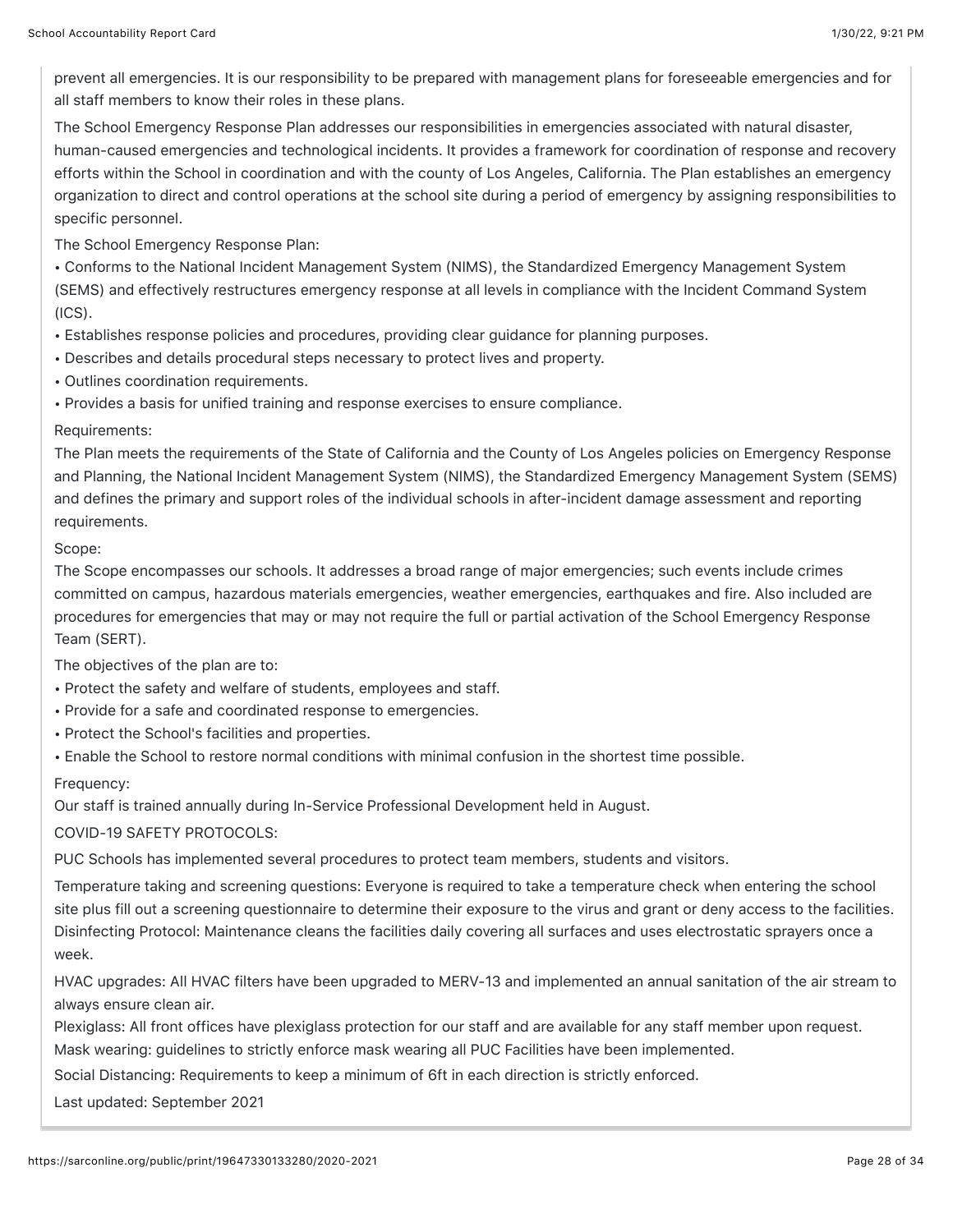prevent all emergencies. It is our responsibility to be prepared with management plans for foreseeable emergencies and for all staff members to know their roles in these plans.

The School Emergency Response Plan addresses our responsibilities in emergencies associated with natural disaster, human-caused emergencies and technological incidents. It provides a framework for coordination of response and recovery efforts within the School in coordination and with the county of Los Angeles, California. The Plan establishes an emergency organization to direct and control operations at the school site during a period of emergency by assigning responsibilities to specific personnel.

The School Emergency Response Plan:

• Conforms to the National Incident Management System (NIMS), the Standardized Emergency Management System (SEMS) and effectively restructures emergency response at all levels in compliance with the Incident Command System (ICS).

- Establishes response policies and procedures, providing clear guidance for planning purposes.
- Describes and details procedural steps necessary to protect lives and property.
- Outlines coordination requirements.
- Provides a basis for unified training and response exercises to ensure compliance.

#### Requirements:

The Plan meets the requirements of the State of California and the County of Los Angeles policies on Emergency Response and Planning, the National Incident Management System (NIMS), the Standardized Emergency Management System (SEMS) and defines the primary and support roles of the individual schools in after-incident damage assessment and reporting requirements.

#### Scope:

The Scope encompasses our schools. It addresses a broad range of major emergencies; such events include crimes committed on campus, hazardous materials emergencies, weather emergencies, earthquakes and fire. Also included are procedures for emergencies that may or may not require the full or partial activation of the School Emergency Response Team (SERT).

The objectives of the plan are to:

- Protect the safety and welfare of students, employees and staff.
- Provide for a safe and coordinated response to emergencies.
- Protect the School's facilities and properties.
- Enable the School to restore normal conditions with minimal confusion in the shortest time possible.

### Frequency:

Our staff is trained annually during In-Service Professional Development held in August.

COVID-19 SAFETY PROTOCOLS:

PUC Schools has implemented several procedures to protect team members, students and visitors.

Temperature taking and screening questions: Everyone is required to take a temperature check when entering the school site plus fill out a screening questionnaire to determine their exposure to the virus and grant or deny access to the facilities. Disinfecting Protocol: Maintenance cleans the facilities daily covering all surfaces and uses electrostatic sprayers once a week.

HVAC upgrades: All HVAC filters have been upgraded to MERV-13 and implemented an annual sanitation of the air stream to always ensure clean air.

Plexiglass: All front offices have plexiglass protection for our staff and are available for any staff member upon request. Mask wearing: guidelines to strictly enforce mask wearing all PUC Facilities have been implemented.

Social Distancing: Requirements to keep a minimum of 6ft in each direction is strictly enforced.

Last updated: September 2021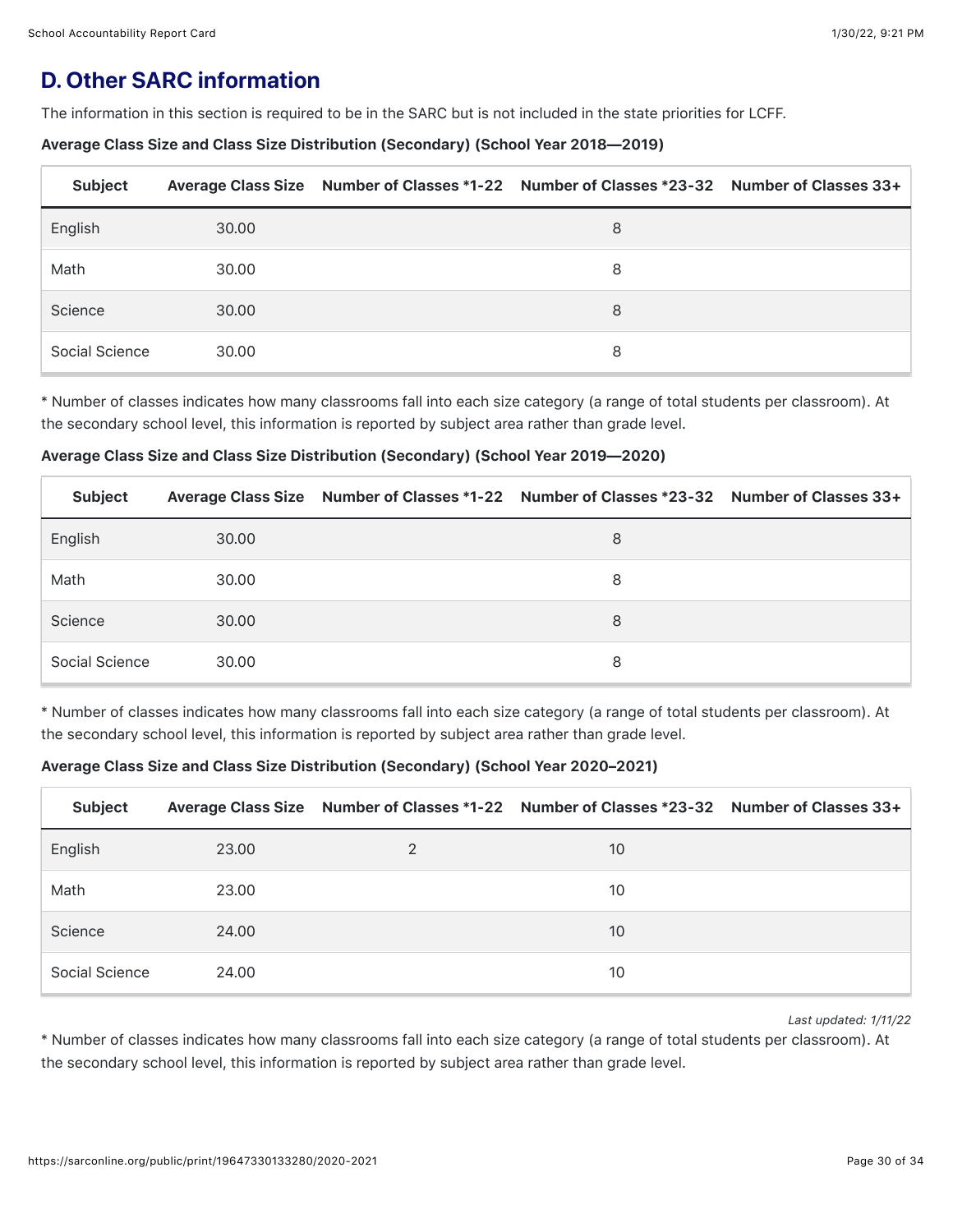## **D. Other SARC information**

The information in this section is required to be in the SARC but is not included in the state priorities for LCFF.

#### Average Class Size and Class Size Distribution (Secondary) (School Year 2018—2019)

| <b>Subject</b> |       | Average Class Size Number of Classes *1-22 Number of Classes *23-32 Number of Classes 33+ |  |
|----------------|-------|-------------------------------------------------------------------------------------------|--|
| English        | 30.00 | 8                                                                                         |  |
| Math           | 30.00 | 8                                                                                         |  |
| Science        | 30.00 | 8                                                                                         |  |
| Social Science | 30.00 | 8                                                                                         |  |

\* Number of classes indicates how many classrooms fall into each size category (a range of total students per classroom). At the secondary school level, this information is reported by subject area rather than grade level.

#### Average Class Size and Class Size Distribution (Secondary) (School Year 2019—2020)

| <b>Subject</b> |       | Average Class Size Number of Classes *1-22 Number of Classes *23-32 Number of Classes 33+ |  |
|----------------|-------|-------------------------------------------------------------------------------------------|--|
| English        | 30.00 | 8                                                                                         |  |
| Math           | 30.00 | 8                                                                                         |  |
| Science        | 30.00 | 8                                                                                         |  |
| Social Science | 30.00 | 8                                                                                         |  |

\* Number of classes indicates how many classrooms fall into each size category (a range of total students per classroom). At the secondary school level, this information is reported by subject area rather than grade level.

### Average Class Size and Class Size Distribution (Secondary) (School Year 2020–2021)

| <b>Subject</b> |       | Average Class Size Number of Classes *1-22 Number of Classes *23-32 Number of Classes 33+ |  |
|----------------|-------|-------------------------------------------------------------------------------------------|--|
| English        | 23.00 | 10                                                                                        |  |
| Math           | 23.00 | 10                                                                                        |  |
| Science        | 24.00 | 10                                                                                        |  |
| Social Science | 24.00 | 10                                                                                        |  |

*Last updated: 1/11/22*

\* Number of classes indicates how many classrooms fall into each size category (a range of total students per classroom). At the secondary school level, this information is reported by subject area rather than grade level.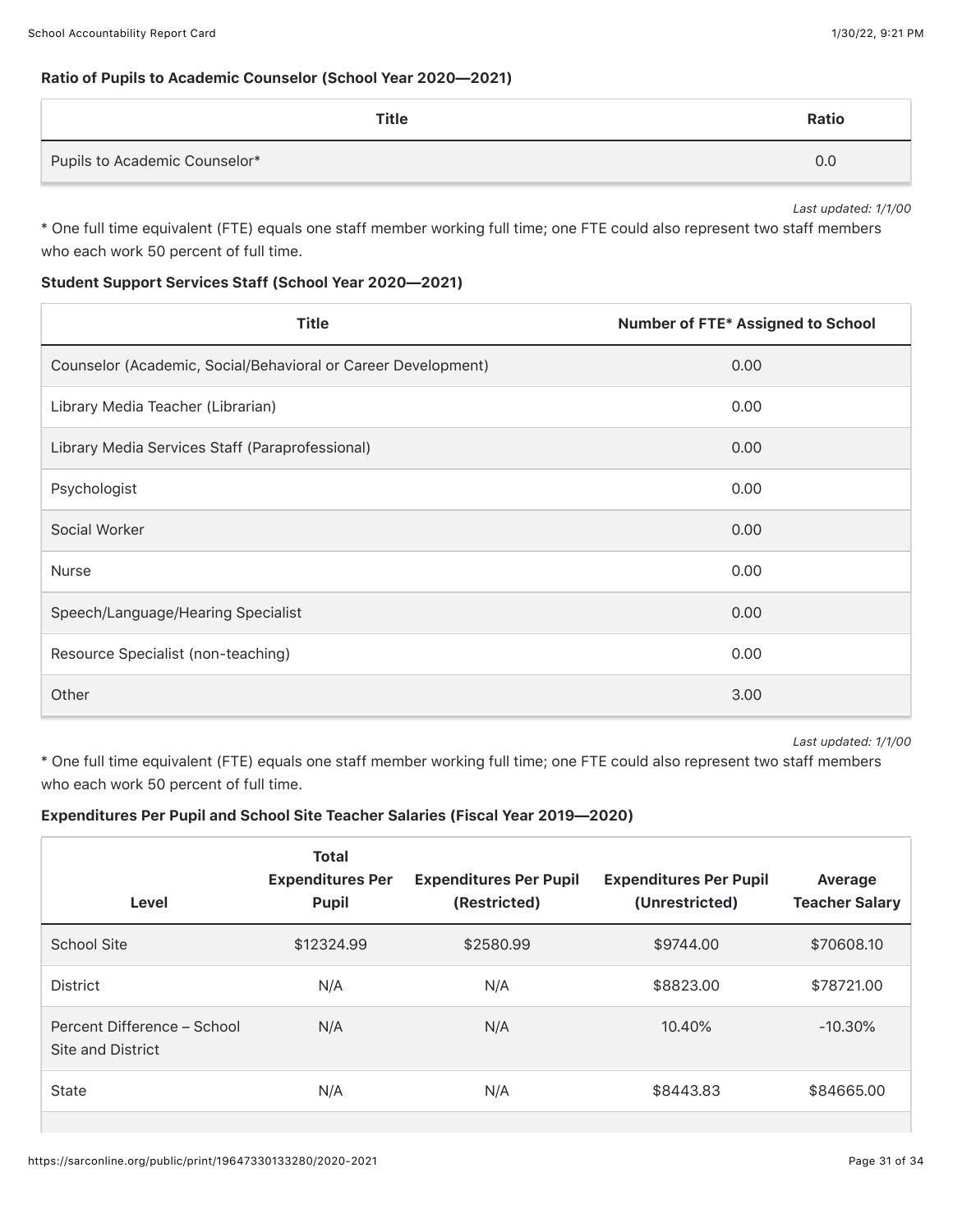#### Ratio of Pupils to Academic Counselor (School Year 2020—2021)

| Title                         | Ratio |
|-------------------------------|-------|
| Pupils to Academic Counselor* | 0.0   |

*Last updated: 1/1/00*

\* One full time equivalent (FTE) equals one staff member working full time; one FTE could also represent two staff members who each work 50 percent of full time.

#### Student Support Services Staff (School Year 2020—2021)

| <b>Title</b>                                                  | Number of FTE* Assigned to School |
|---------------------------------------------------------------|-----------------------------------|
| Counselor (Academic, Social/Behavioral or Career Development) | 0.00                              |
| Library Media Teacher (Librarian)                             | 0.00                              |
| Library Media Services Staff (Paraprofessional)               | 0.00                              |
| Psychologist                                                  | 0.00                              |
| Social Worker                                                 | 0.00                              |
| <b>Nurse</b>                                                  | 0.00                              |
| Speech/Language/Hearing Specialist                            | 0.00                              |
| Resource Specialist (non-teaching)                            | 0.00                              |
| Other                                                         | 3.00                              |

*Last updated: 1/1/00*

\* One full time equivalent (FTE) equals one staff member working full time; one FTE could also represent two staff members who each work 50 percent of full time.

#### Expenditures Per Pupil and School Site Teacher Salaries (Fiscal Year 2019—2020)

| Level                                            | <b>Total</b><br><b>Expenditures Per</b><br><b>Pupil</b> | <b>Expenditures Per Pupil</b><br>(Restricted) | <b>Expenditures Per Pupil</b><br>(Unrestricted) | Average<br><b>Teacher Salary</b> |
|--------------------------------------------------|---------------------------------------------------------|-----------------------------------------------|-------------------------------------------------|----------------------------------|
| <b>School Site</b>                               | \$12324.99                                              | \$2580.99                                     | \$9744.00                                       | \$70608.10                       |
| <b>District</b>                                  | N/A                                                     | N/A                                           | \$8823.00                                       | \$78721.00                       |
| Percent Difference - School<br>Site and District | N/A                                                     | N/A                                           | 10.40%                                          | $-10.30\%$                       |
| <b>State</b>                                     | N/A                                                     | N/A                                           | \$8443.83                                       | \$84665.00                       |
|                                                  |                                                         |                                               |                                                 |                                  |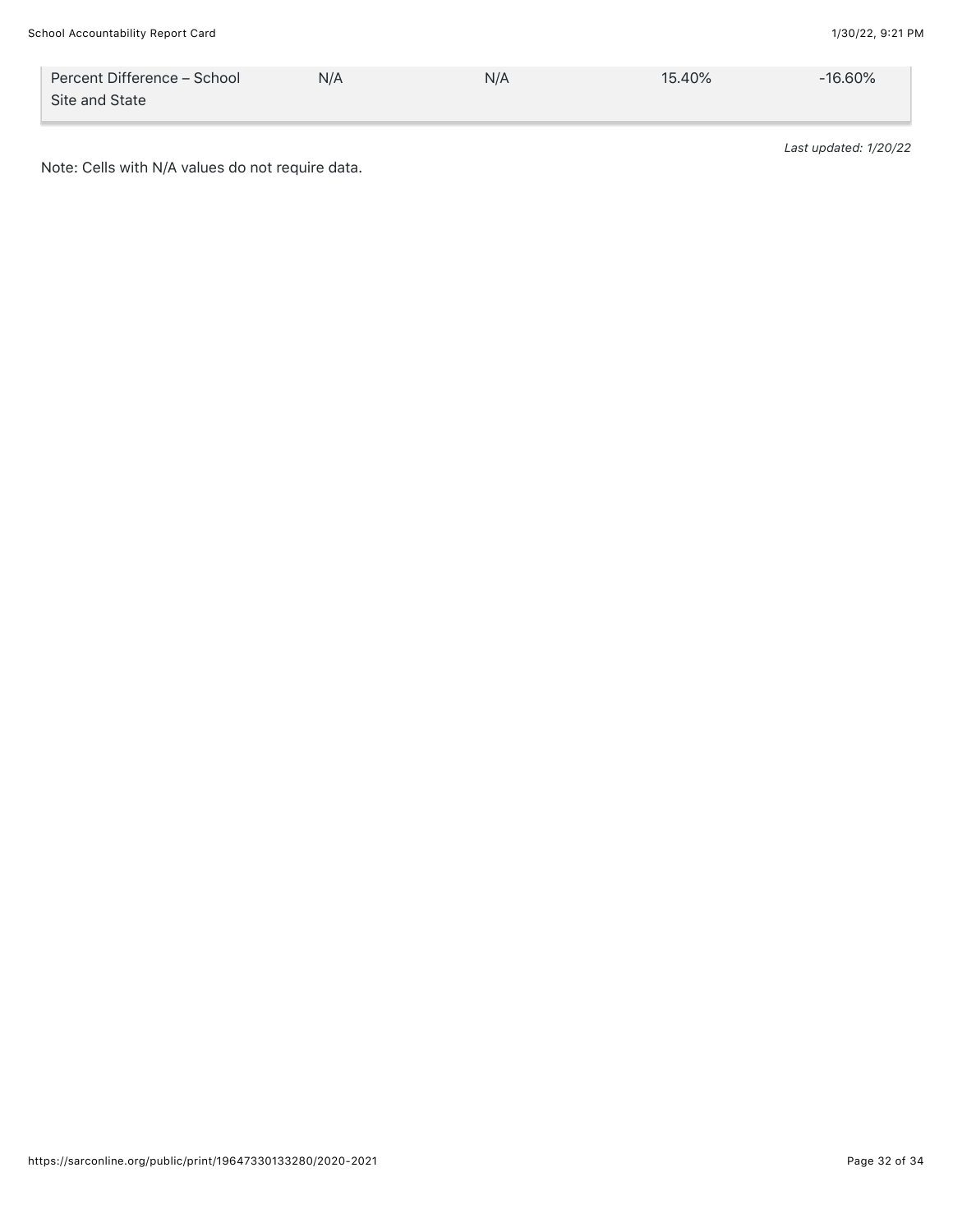Note: Cells with N/A values do not require data.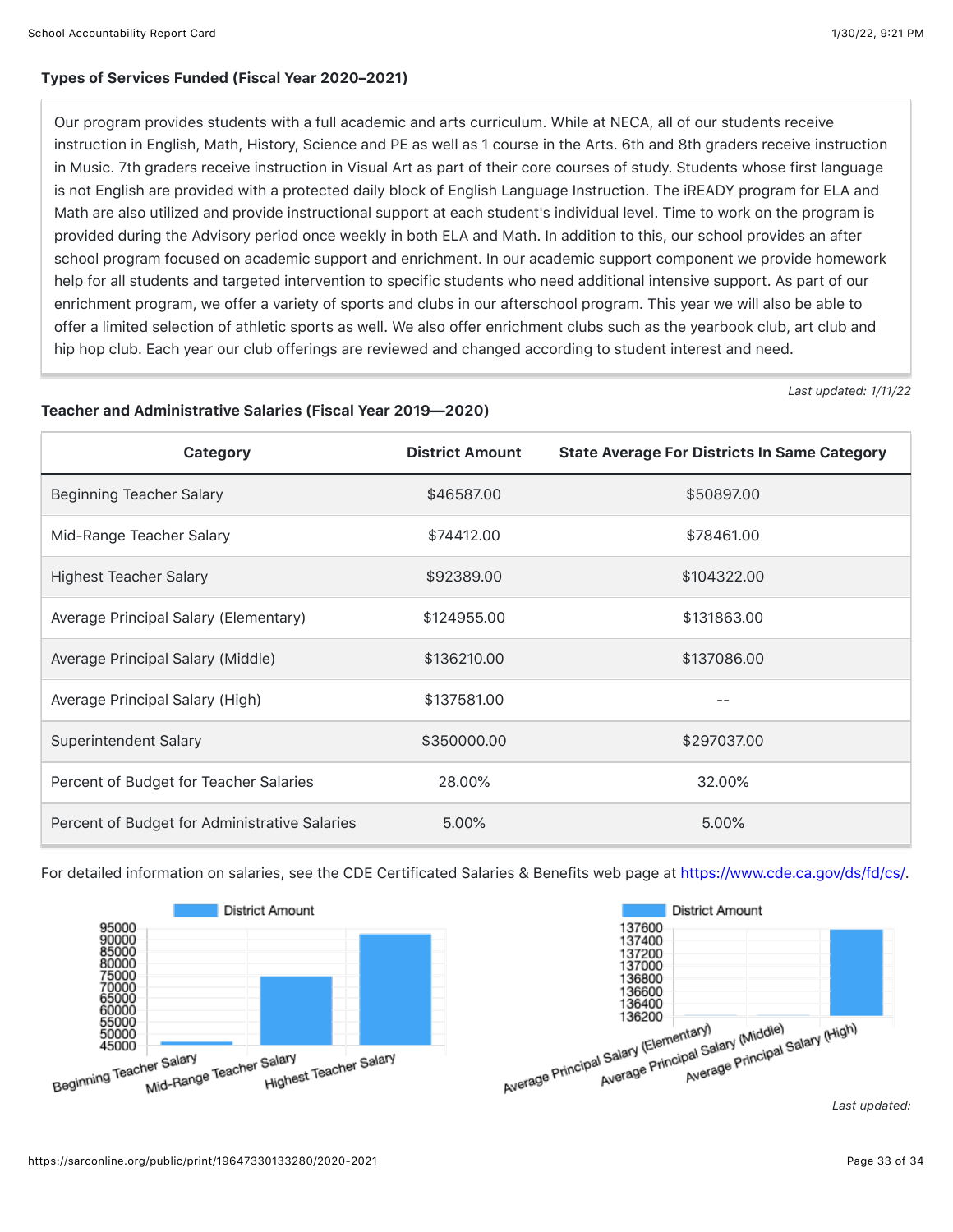#### Types of Services Funded (Fiscal Year 2020–2021)

Our program provides students with a full academic and arts curriculum. While at NECA, all of our students receive instruction in English, Math, History, Science and PE as well as 1 course in the Arts. 6th and 8th graders receive instruction in Music. 7th graders receive instruction in Visual Art as part of their core courses of study. Students whose first language is not English are provided with a protected daily block of English Language Instruction. The iREADY program for ELA and Math are also utilized and provide instructional support at each student's individual level. Time to work on the program is provided during the Advisory period once weekly in both ELA and Math. In addition to this, our school provides an after school program focused on academic support and enrichment. In our academic support component we provide homework help for all students and targeted intervention to specific students who need additional intensive support. As part of our enrichment program, we offer a variety of sports and clubs in our afterschool program. This year we will also be able to offer a limited selection of athletic sports as well. We also offer enrichment clubs such as the yearbook club, art club and hip hop club. Each year our club offerings are reviewed and changed according to student interest and need.

*Last updated: 1/11/22*

#### Teacher and Administrative Salaries (Fiscal Year 2019—2020)

| Category                                      | <b>District Amount</b> | <b>State Average For Districts In Same Category</b> |
|-----------------------------------------------|------------------------|-----------------------------------------------------|
| <b>Beginning Teacher Salary</b>               | \$46587.00             | \$50897.00                                          |
| Mid-Range Teacher Salary                      | \$74412.00             | \$78461.00                                          |
| <b>Highest Teacher Salary</b>                 | \$92389.00             | \$104322.00                                         |
| Average Principal Salary (Elementary)         | \$124955.00            | \$131863.00                                         |
| Average Principal Salary (Middle)             | \$136210.00            | \$137086.00                                         |
| Average Principal Salary (High)               | \$137581.00            |                                                     |
| Superintendent Salary                         | \$350000.00            | \$297037.00                                         |
| Percent of Budget for Teacher Salaries        | 28.00%                 | 32.00%                                              |
| Percent of Budget for Administrative Salaries | 5.00%                  | 5.00%                                               |

For detailed information on salaries, see the CDE Certificated Salaries & Benefits web page at [https://www.cde.ca.gov/ds/fd/cs/.](https://www.cde.ca.gov/ds/fd/cs/)





*Last updated:*